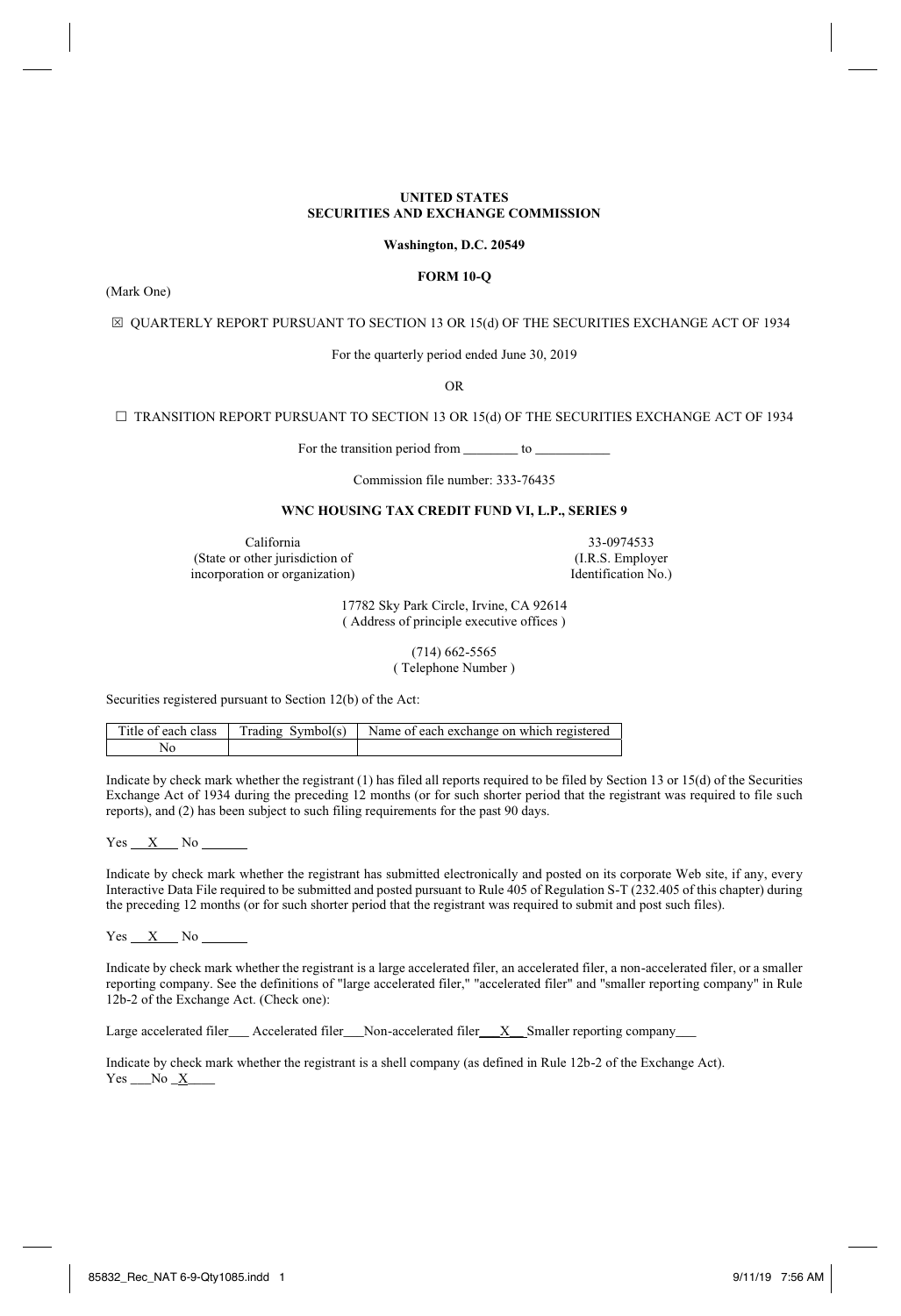## **UNITED STATES SECURITIES AND EXCHANGE COMMISSION**

## **Washington, D.C. 20549**

# **FORM 10-Q**

(Mark One)

 $\boxtimes$  QUARTERLY REPORT PURSUANT TO SECTION 13 OR 15(d) OF THE SECURITIES EXCHANGE ACT OF 1934

For the quarterly period ended June 30, 2019

OR

 $\Box$  TRANSITION REPORT PURSUANT TO SECTION 13 OR 15(d) OF THE SECURITIES EXCHANGE ACT OF 1934

For the transition period from \_\_\_\_\_\_\_\_\_\_ to \_

Commission file number: 333-76435

# **WNC HOUSING TAX CREDIT FUND VI, L.P., SERIES 9**

California 33-0974533<br>other jurisdiction of (I.R.S. Employer (State or other jurisdiction of (I.R.S. Employer incorporation or organization) leads and the left of  $(1, R.S.$  Employer  $I$ incorporation or organization)

17782 Sky Park Circle, Irvine, CA 92614 ( Address of principle executive offices )

> (714) 662-5565 ( Telephone Number )

Securities registered pursuant to Section 12(b) of the Act:

| Title of each class | Trading Symbol(s) Name of each exchange on which registered |
|---------------------|-------------------------------------------------------------|
|                     |                                                             |

Indicate by check mark whether the registrant (1) has filed all reports required to be filed by Section 13 or 15(d) of the Securities Exchange Act of 1934 during the preceding 12 months (or for such shorter period that the registrant was required to file such reports), and (2) has been subject to such filing requirements for the past 90 days.

 $Yes$   $X$  No  $\Box$ 

Indicate by check mark whether the registrant has submitted electronically and posted on its corporate Web site, if any, every Interactive Data File required to be submitted and posted pursuant to Rule 405 of Regulation S-T (232.405 of this chapter) during the preceding 12 months (or for such shorter period that the registrant was required to submit and post such files).

 $Yes$   $X$  No

Indicate by check mark whether the registrant is a large accelerated filer, an accelerated filer, a non-accelerated filer, or a smaller reporting company. See the definitions of "large accelerated filer," "accelerated filer" and "smaller reporting company" in Rule 12b-2 of the Exchange Act. (Check one):

Large accelerated filer\_\_\_ Accelerated filer\_\_\_Non-accelerated filer\_\_\_X\_\_ Smaller reporting company\_

Indicate by check mark whether the registrant is a shell company (as defined in Rule 12b-2 of the Exchange Act). Yes No X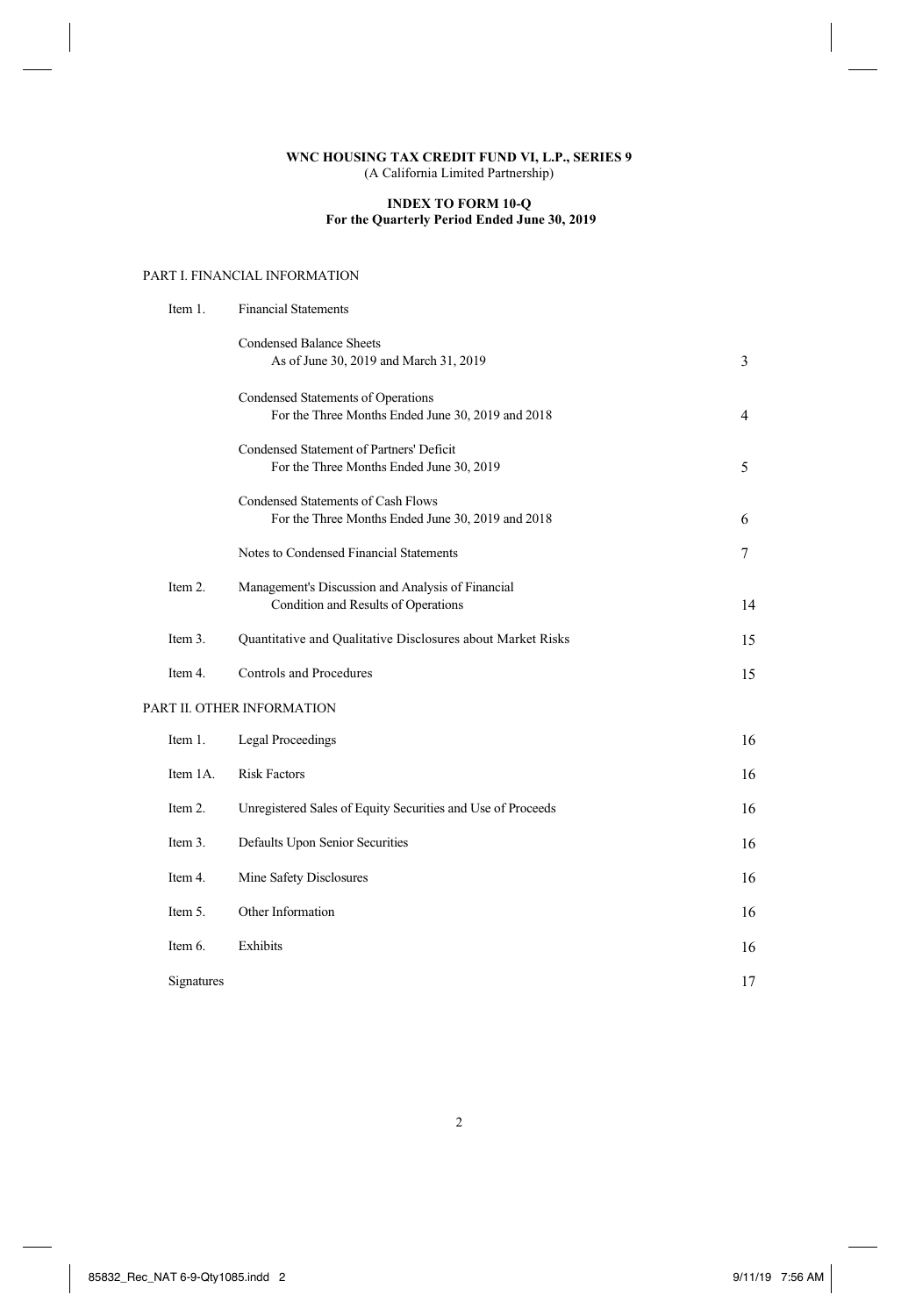# **INDEX TO FORM 10-Q For the Quarterly Period Ended June 30, 2019**

# PART I. FINANCIAL INFORMATION

| Item 1.    | <b>Financial Statements</b>                                                                    |                            |
|------------|------------------------------------------------------------------------------------------------|----------------------------|
|            | <b>Condensed Balance Sheets</b><br>As of June 30, 2019 and March 31, 2019                      | 3                          |
|            | Condensed Statements of Operations<br>For the Three Months Ended June 30, 2019 and 2018        | 4                          |
|            | Condensed Statement of Partners' Deficit<br>For the Three Months Ended June 30, 2019           | 5                          |
|            | <b>Condensed Statements of Cash Flows</b><br>For the Three Months Ended June 30, 2019 and 2018 | 6                          |
|            | Notes to Condensed Financial Statements                                                        | $\overline{7}$             |
| Item 2.    | Management's Discussion and Analysis of Financial<br>Condition and Results of Operations       | 14                         |
| Item 3.    | Quantitative and Qualitative Disclosures about Market Risks                                    | 15                         |
| Item 4.    | <b>Controls and Procedures</b>                                                                 | 15                         |
|            |                                                                                                |                            |
| Item 1.    | <b>Legal Proceedings</b>                                                                       | 16                         |
| Item 1A.   | <b>Risk Factors</b>                                                                            | 16                         |
| Item 2.    | Unregistered Sales of Equity Securities and Use of Proceeds                                    | 16                         |
| Item 3.    | Defaults Upon Senior Securities                                                                | 16                         |
| Item 4.    | Mine Safety Disclosures                                                                        | 16                         |
| Item 5.    | Other Information                                                                              | 16                         |
| Item 6.    | Exhibits                                                                                       | 16                         |
| Signatures |                                                                                                | 17                         |
|            |                                                                                                | PART II. OTHER INFORMATION |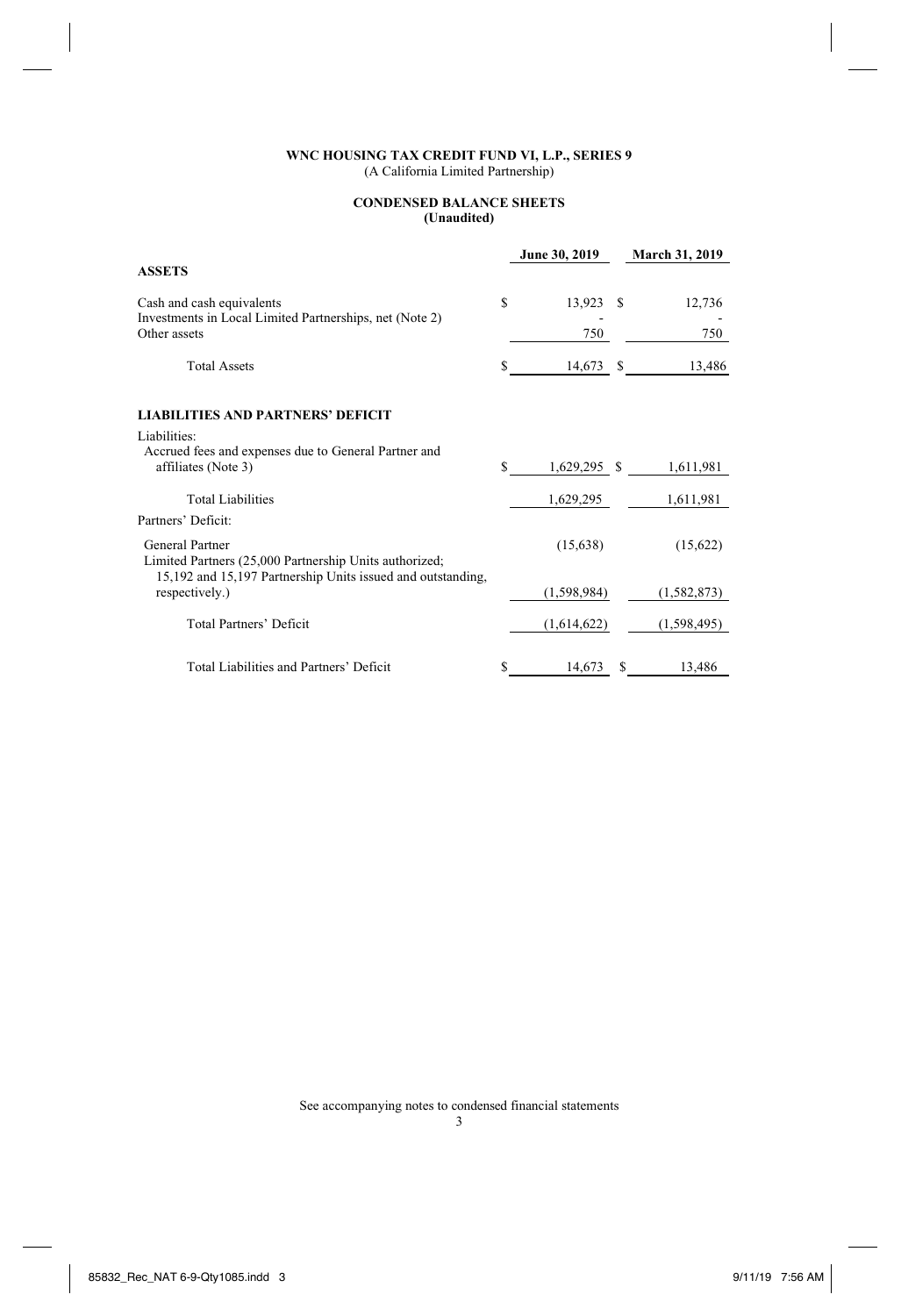### **CONDENSED BALANCE SHEETS (Unaudited)**

|                                                                                      |    | June 30, 2019 |    | <b>March 31, 2019</b> |
|--------------------------------------------------------------------------------------|----|---------------|----|-----------------------|
| <b>ASSETS</b>                                                                        |    |               |    |                       |
| Cash and cash equivalents<br>Investments in Local Limited Partnerships, net (Note 2) | S  | 13,923        | £. | 12,736                |
| Other assets                                                                         |    | 750           |    | 750                   |
| <b>Total Assets</b>                                                                  | S  | 14,673        | S  | 13,486                |
| <b>LIABILITIES AND PARTNERS' DEFICIT</b>                                             |    |               |    |                       |
| Liabilities:                                                                         |    |               |    |                       |
| Accrued fees and expenses due to General Partner and<br>affiliates (Note 3)          | S. | 1,629,295 \$  |    | 1,611,981             |
| <b>Total Liabilities</b>                                                             |    | 1,629,295     |    | 1,611,981             |
| Partners' Deficit:                                                                   |    |               |    |                       |
| General Partner<br>Limited Partners (25,000 Partnership Units authorized;            |    | (15,638)      |    | (15,622)              |
| 15,192 and 15,197 Partnership Units issued and outstanding,<br>respectively.)        |    | (1,598,984)   |    | (1, 582, 873)         |
| Total Partners' Deficit                                                              |    | (1,614,622)   |    | (1, 598, 495)         |
| Total Liabilities and Partners' Deficit                                              | S  | 14,673        |    | 13,486                |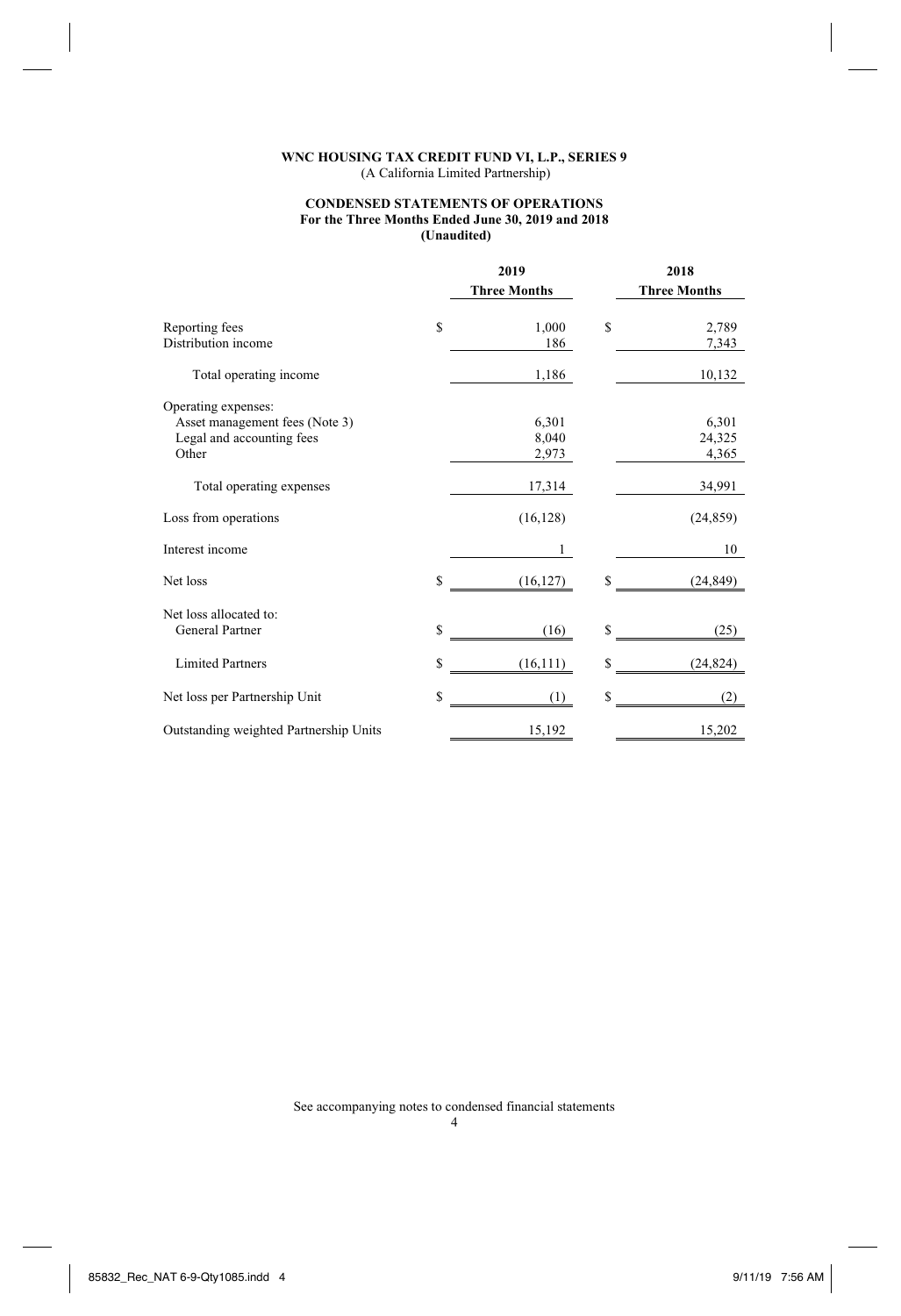### **CONDENSED STATEMENTS OF OPERATIONS For the Three Months Ended June 30, 2019 and 2018 (Unaudited)**

|                                        | 2019 |                     |    | 2018                |
|----------------------------------------|------|---------------------|----|---------------------|
|                                        |      | <b>Three Months</b> |    | <b>Three Months</b> |
| Reporting fees                         | S    | 1,000               | S  | 2,789               |
| Distribution income                    |      | 186                 |    | 7,343               |
| Total operating income                 |      | 1,186               |    | 10,132              |
| Operating expenses:                    |      |                     |    |                     |
| Asset management fees (Note 3)         |      | 6,301               |    | 6,301               |
| Legal and accounting fees              |      | 8,040               |    | 24,325              |
| Other                                  |      | 2,973               |    | 4,365               |
| Total operating expenses               |      | 17,314              |    | 34,991              |
| Loss from operations                   |      | (16, 128)           |    | (24, 859)           |
| Interest income                        |      | 1                   |    | 10                  |
| Net loss                               | \$   | (16, 127)           | S  | (24, 849)           |
| Net loss allocated to:                 |      |                     |    |                     |
| General Partner                        | S    | (16)                | S  | (25)                |
| <b>Limited Partners</b>                | \$   | (16,111)            | S  | (24, 824)           |
| Net loss per Partnership Unit          | \$   | (1)                 | \$ | (2)                 |
| Outstanding weighted Partnership Units |      | 15,192              |    | 15,202              |
|                                        |      |                     |    |                     |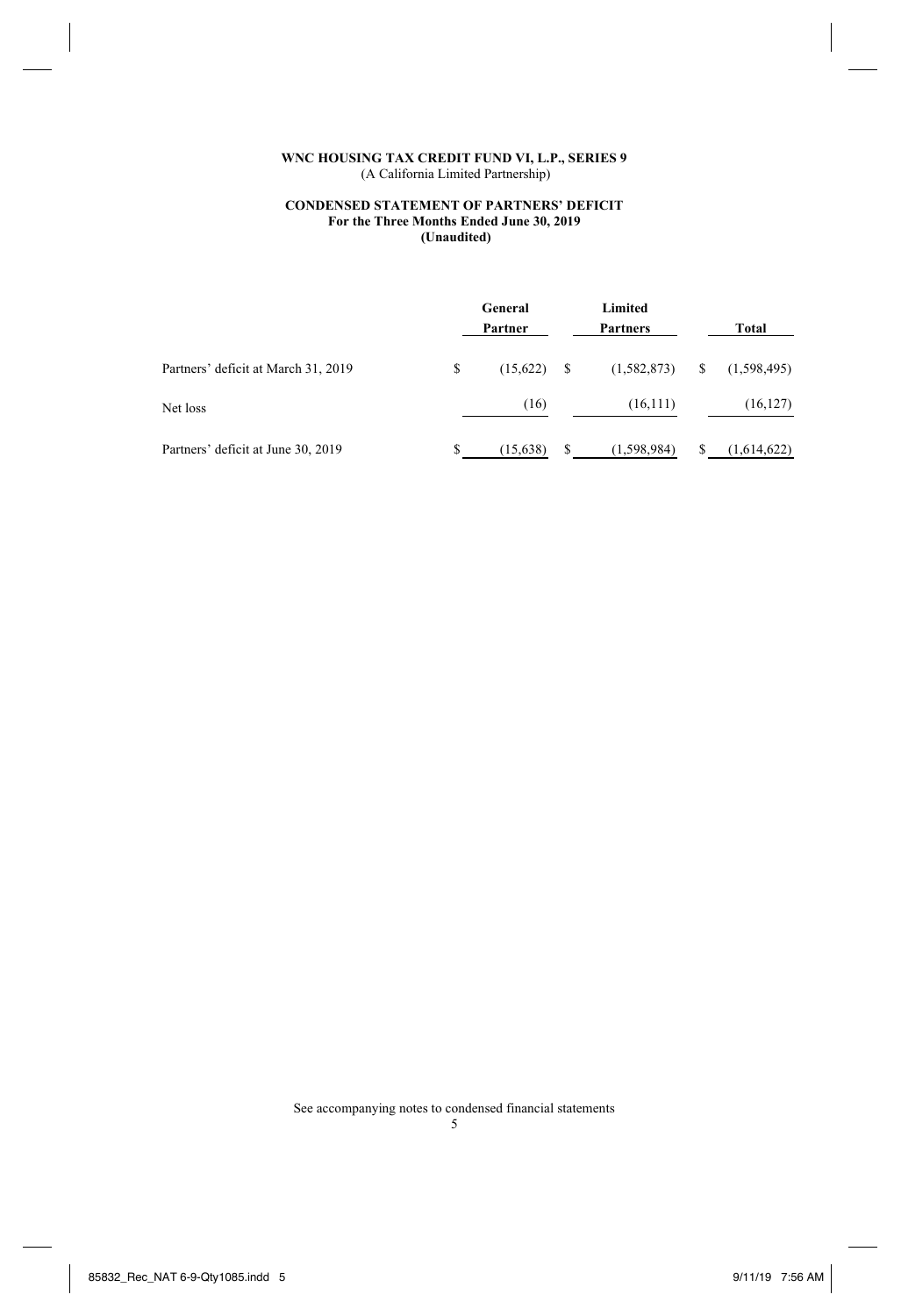# **CONDENSED STATEMENT OF PARTNERS' DEFICIT For the Three Months Ended June 30, 2019 (Unaudited)**

|                                     |   | General<br>Partner |     | Limited<br><b>Partners</b> |   | Total       |
|-------------------------------------|---|--------------------|-----|----------------------------|---|-------------|
| Partners' deficit at March 31, 2019 | S | (15,622)           | - S | (1,582,873)                | S | (1,598,495) |
| Net loss                            |   | (16)               |     | (16,111)                   |   | (16, 127)   |
| Partners' deficit at June 30, 2019  |   | (15, 638)          | S   | (1,598,984)                |   | (1,614,622) |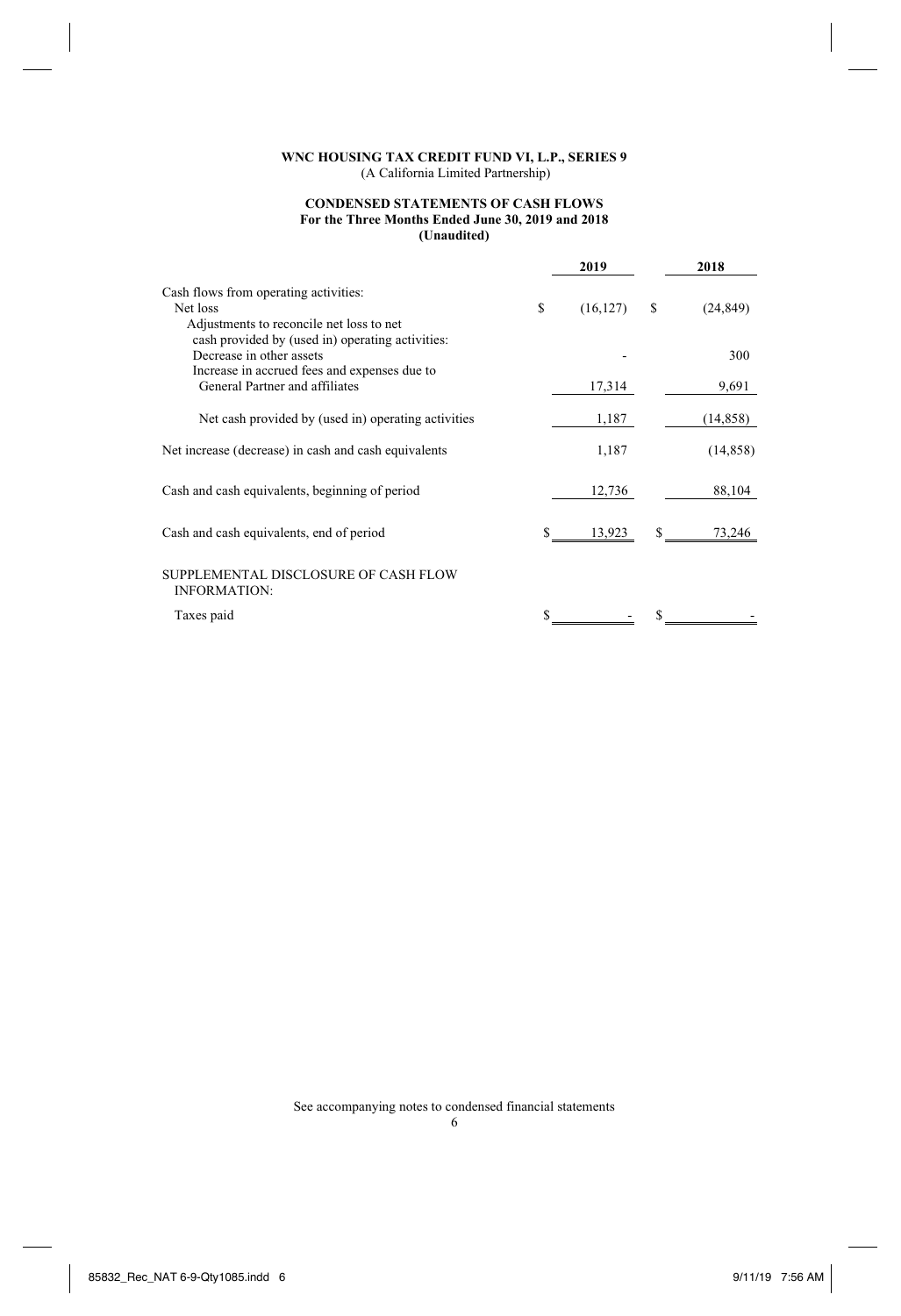# **CONDENSED STATEMENTS OF CASH FLOWS For the Three Months Ended June 30, 2019 and 2018 (Unaudited)**

|                                                                                                                              |    | 2019      |   | 2018      |
|------------------------------------------------------------------------------------------------------------------------------|----|-----------|---|-----------|
| Cash flows from operating activities:<br>Net loss<br>Adjustments to reconcile net loss to net                                | S  | (16, 127) | S | (24, 849) |
| cash provided by (used in) operating activities:<br>Decrease in other assets<br>Increase in accrued fees and expenses due to |    |           |   | 300       |
| General Partner and affiliates                                                                                               |    | 17,314    |   | 9,691     |
| Net cash provided by (used in) operating activities                                                                          |    | 1,187     |   | (14, 858) |
| Net increase (decrease) in cash and cash equivalents                                                                         |    | 1,187     |   | (14, 858) |
| Cash and cash equivalents, beginning of period                                                                               |    | 12,736    |   | 88,104    |
| Cash and cash equivalents, end of period                                                                                     | \$ | 13,923    |   | 73,246    |
| SUPPLEMENTAL DISCLOSURE OF CASH FLOW<br><b>INFORMATION:</b>                                                                  |    |           |   |           |
| Taxes paid                                                                                                                   |    |           |   |           |
|                                                                                                                              |    |           |   |           |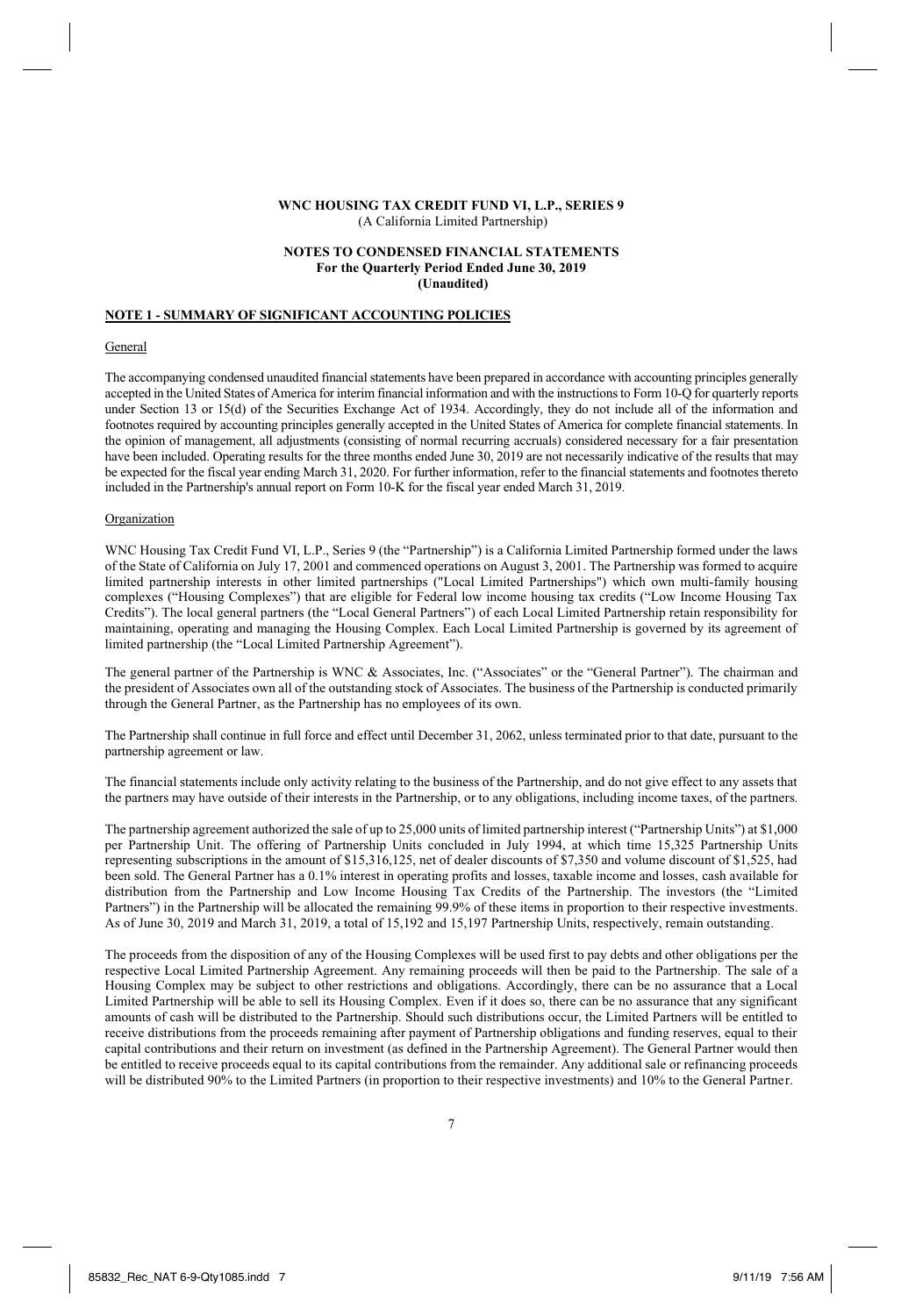### **NOTES TO CONDENSED FINANCIAL STATEMENTS For the Quarterly Period Ended June 30, 2019 (Unaudited)**

# **NOTE 1 - SUMMARY OF SIGNIFICANT ACCOUNTING POLICIES**

#### **General**

The accompanying condensed unaudited financial statements have been prepared in accordance with accounting principles generally accepted in the United States of America for interim financial information and with the instructions to Form 10-Q for quarterly reports under Section 13 or 15(d) of the Securities Exchange Act of 1934. Accordingly, they do not include all of the information and footnotes required by accounting principles generally accepted in the United States of America for complete financial statements. In the opinion of management, all adjustments (consisting of normal recurring accruals) considered necessary for a fair presentation have been included. Operating results for the three months ended June 30, 2019 are not necessarily indicative of the results that may be expected for the fiscal year ending March 31, 2020. For further information, refer to the financial statements and footnotes thereto included in the Partnership's annual report on Form 10-K for the fiscal year ended March 31, 2019.

### Organization

WNC Housing Tax Credit Fund VI, L.P., Series 9 (the "Partnership") is a California Limited Partnership formed under the laws of the State of California on July 17, 2001 and commenced operations on August 3, 2001. The Partnership was formed to acquire limited partnership interests in other limited partnerships ("Local Limited Partnerships") which own multi-family housing complexes ("Housing Complexes") that are eligible for Federal low income housing tax credits ("Low Income Housing Tax Credits"). The local general partners (the "Local General Partners") of each Local Limited Partnership retain responsibility for maintaining, operating and managing the Housing Complex. Each Local Limited Partnership is governed by its agreement of limited partnership (the "Local Limited Partnership Agreement").

The general partner of the Partnership is WNC & Associates, Inc. ("Associates" or the "General Partner"). The chairman and the president of Associates own all of the outstanding stock of Associates. The business of the Partnership is conducted primarily through the General Partner, as the Partnership has no employees of its own.

The Partnership shall continue in full force and effect until December 31, 2062, unless terminated prior to that date, pursuant to the partnership agreement or law.

The financial statements include only activity relating to the business of the Partnership, and do not give effect to any assets that the partners may have outside of their interests in the Partnership, or to any obligations, including income taxes, of the partners.

The partnership agreement authorized the sale of up to 25,000 units of limited partnership interest ("Partnership Units") at \$1,000 per Partnership Unit. The offering of Partnership Units concluded in July 1994, at which time 15,325 Partnership Units representing subscriptions in the amount of \$15,316,125, net of dealer discounts of \$7,350 and volume discount of \$1,525, had been sold. The General Partner has a 0.1% interest in operating profits and losses, taxable income and losses, cash available for distribution from the Partnership and Low Income Housing Tax Credits of the Partnership. The investors (the "Limited Partners") in the Partnership will be allocated the remaining 99.9% of these items in proportion to their respective investments. As of June 30, 2019 and March 31, 2019, a total of 15,192 and 15,197 Partnership Units, respectively, remain outstanding.

The proceeds from the disposition of any of the Housing Complexes will be used first to pay debts and other obligations per the respective Local Limited Partnership Agreement. Any remaining proceeds will then be paid to the Partnership. The sale of a Housing Complex may be subject to other restrictions and obligations. Accordingly, there can be no assurance that a Local Limited Partnership will be able to sell its Housing Complex. Even if it does so, there can be no assurance that any significant amounts of cash will be distributed to the Partnership. Should such distributions occur, the Limited Partners will be entitled to receive distributions from the proceeds remaining after payment of Partnership obligations and funding reserves, equal to their capital contributions and their return on investment (as defined in the Partnership Agreement). The General Partner would then be entitled to receive proceeds equal to its capital contributions from the remainder. Any additional sale or refinancing proceeds will be distributed 90% to the Limited Partners (in proportion to their respective investments) and 10% to the General Partner.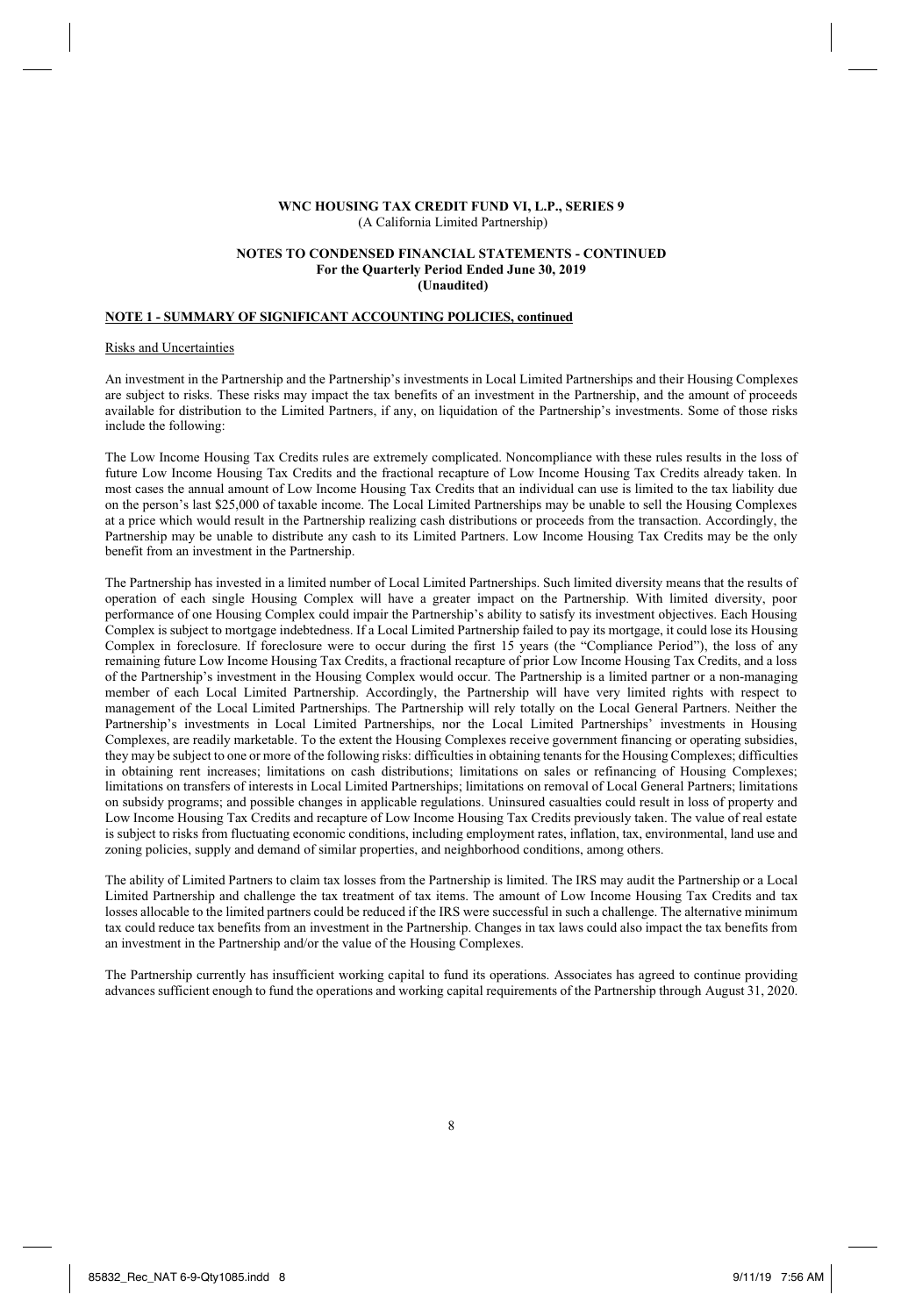### **NOTES TO CONDENSED FINANCIAL STATEMENTS - CONTINUED For the Quarterly Period Ended June 30, 2019 (Unaudited)**

## **NOTE 1 - SUMMARY OF SIGNIFICANT ACCOUNTING POLICIES, continued**

#### Risks and Uncertainties

An investment in the Partnership and the Partnership's investments in Local Limited Partnerships and their Housing Complexes are subject to risks. These risks may impact the tax benefits of an investment in the Partnership, and the amount of proceeds available for distribution to the Limited Partners, if any, on liquidation of the Partnership's investments. Some of those risks include the following:

The Low Income Housing Tax Credits rules are extremely complicated. Noncompliance with these rules results in the loss of future Low Income Housing Tax Credits and the fractional recapture of Low Income Housing Tax Credits already taken. In most cases the annual amount of Low Income Housing Tax Credits that an individual can use is limited to the tax liability due on the person's last \$25,000 of taxable income. The Local Limited Partnerships may be unable to sell the Housing Complexes at a price which would result in the Partnership realizing cash distributions or proceeds from the transaction. Accordingly, the Partnership may be unable to distribute any cash to its Limited Partners. Low Income Housing Tax Credits may be the only benefit from an investment in the Partnership.

The Partnership has invested in a limited number of Local Limited Partnerships. Such limited diversity means that the results of operation of each single Housing Complex will have a greater impact on the Partnership. With limited diversity, poor performance of one Housing Complex could impair the Partnership's ability to satisfy its investment objectives. Each Housing Complex is subject to mortgage indebtedness. If a Local Limited Partnership failed to pay its mortgage, it could lose its Housing Complex in foreclosure. If foreclosure were to occur during the first 15 years (the "Compliance Period"), the loss of any remaining future Low Income Housing Tax Credits, a fractional recapture of prior Low Income Housing Tax Credits, and a loss of the Partnership's investment in the Housing Complex would occur. The Partnership is a limited partner or a non-managing member of each Local Limited Partnership. Accordingly, the Partnership will have very limited rights with respect to management of the Local Limited Partnerships. The Partnership will rely totally on the Local General Partners. Neither the Partnership's investments in Local Limited Partnerships, nor the Local Limited Partnerships' investments in Housing Complexes, are readily marketable. To the extent the Housing Complexes receive government financing or operating subsidies, they may be subject to one or more of the following risks: difficulties in obtaining tenants for the Housing Complexes; difficulties in obtaining rent increases; limitations on cash distributions; limitations on sales or refinancing of Housing Complexes; limitations on transfers of interests in Local Limited Partnerships; limitations on removal of Local General Partners; limitations on subsidy programs; and possible changes in applicable regulations. Uninsured casualties could result in loss of property and Low Income Housing Tax Credits and recapture of Low Income Housing Tax Credits previously taken. The value of real estate is subject to risks from fluctuating economic conditions, including employment rates, inflation, tax, environmental, land use and zoning policies, supply and demand of similar properties, and neighborhood conditions, among others.

The ability of Limited Partners to claim tax losses from the Partnership is limited. The IRS may audit the Partnership or a Local Limited Partnership and challenge the tax treatment of tax items. The amount of Low Income Housing Tax Credits and tax losses allocable to the limited partners could be reduced if the IRS were successful in such a challenge. The alternative minimum tax could reduce tax benefits from an investment in the Partnership. Changes in tax laws could also impact the tax benefits from an investment in the Partnership and/or the value of the Housing Complexes.

The Partnership currently has insufficient working capital to fund its operations. Associates has agreed to continue providing advances sufficient enough to fund the operations and working capital requirements of the Partnership through August 31, 2020.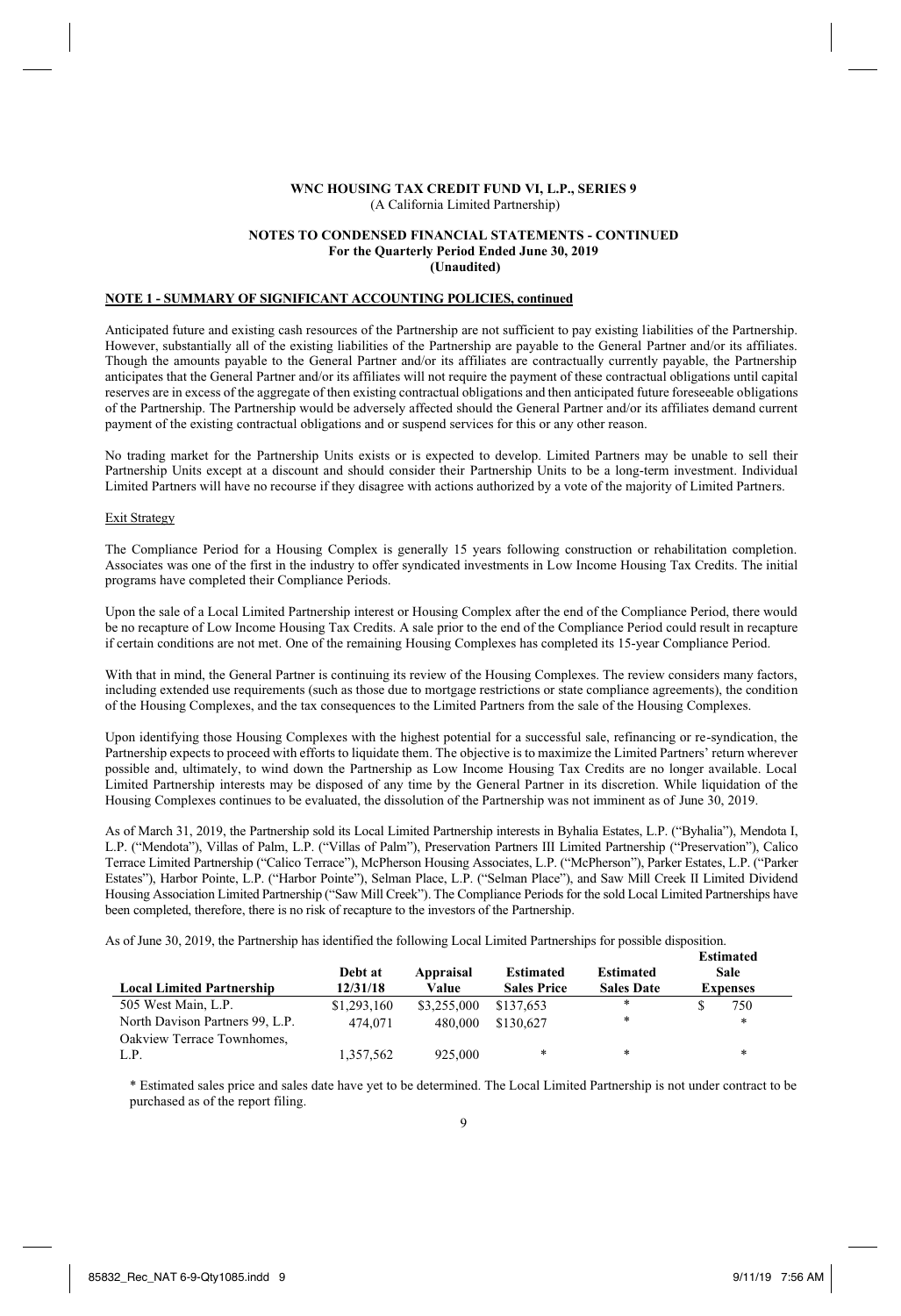#### **NOTES TO CONDENSED FINANCIAL STATEMENTS - CONTINUED For the Quarterly Period Ended June 30, 2019 (Unaudited)**

## **NOTE 1 - SUMMARY OF SIGNIFICANT ACCOUNTING POLICIES, continued**

Anticipated future and existing cash resources of the Partnership are not sufficient to pay existing liabilities of the Partnership. However, substantially all of the existing liabilities of the Partnership are payable to the General Partner and/or its affiliates. Though the amounts payable to the General Partner and/or its affiliates are contractually currently payable, the Partnership anticipates that the General Partner and/or its affiliates will not require the payment of these contractual obligations until capital reserves are in excess of the aggregate of then existing contractual obligations and then anticipated future foreseeable obligations of the Partnership. The Partnership would be adversely affected should the General Partner and/or its affiliates demand current payment of the existing contractual obligations and or suspend services for this or any other reason.

No trading market for the Partnership Units exists or is expected to develop. Limited Partners may be unable to sell their Partnership Units except at a discount and should consider their Partnership Units to be a long-term investment. Individual Limited Partners will have no recourse if they disagree with actions authorized by a vote of the majority of Limited Partners.

## Exit Strategy

The Compliance Period for a Housing Complex is generally 15 years following construction or rehabilitation completion. Associates was one of the first in the industry to offer syndicated investments in Low Income Housing Tax Credits. The initial programs have completed their Compliance Periods.

Upon the sale of a Local Limited Partnership interest or Housing Complex after the end of the Compliance Period, there would be no recapture of Low Income Housing Tax Credits. A sale prior to the end of the Compliance Period could result in recapture if certain conditions are not met. One of the remaining Housing Complexes has completed its 15-year Compliance Period.

With that in mind, the General Partner is continuing its review of the Housing Complexes. The review considers many factors, including extended use requirements (such as those due to mortgage restrictions or state compliance agreements), the condition of the Housing Complexes, and the tax consequences to the Limited Partners from the sale of the Housing Complexes.

Upon identifying those Housing Complexes with the highest potential for a successful sale, refinancing or re-syndication, the Partnership expects to proceed with efforts to liquidate them. The objective is to maximize the Limited Partners' return wherever possible and, ultimately, to wind down the Partnership as Low Income Housing Tax Credits are no longer available. Local Limited Partnership interests may be disposed of any time by the General Partner in its discretion. While liquidation of the Housing Complexes continues to be evaluated, the dissolution of the Partnership was not imminent as of June 30, 2019.

As of March 31, 2019, the Partnership sold its Local Limited Partnership interests in Byhalia Estates, L.P. ("Byhalia"), Mendota I, L.P. ("Mendota"), Villas of Palm, L.P. ("Villas of Palm"), Preservation Partners III Limited Partnership ("Preservation"), Calico Terrace Limited Partnership ("Calico Terrace"), McPherson Housing Associates, L.P. ("McPherson"), Parker Estates, L.P. ("Parker Estates"), Harbor Pointe, L.P. ("Harbor Pointe"), Selman Place, L.P. ("Selman Place"), and Saw Mill Creek II Limited Dividend Housing Association Limited Partnership ("Saw Mill Creek"). The Compliance Periods for the sold Local Limited Partnerships have been completed, therefore, there is no risk of recapture to the investors of the Partnership.

As of June 30, 2019, the Partnership has identified the following Local Limited Partnerships for possible disposition. **Estimated** 

| <b>Local Limited Partnership</b> | Debt at<br>12/31/18 | Appraisal<br>Value | <b>Estimated</b><br><b>Sales Price</b> | <b>Estimated</b><br><b>Sales Date</b> | взишаюч<br>Sale<br><b>Expenses</b> |
|----------------------------------|---------------------|--------------------|----------------------------------------|---------------------------------------|------------------------------------|
| 505 West Main, L.P.              | \$1,293,160         | \$3,255,000        | \$137,653                              | *                                     | 750                                |
| North Davison Partners 99, L.P.  | 474,071             | 480.000            | \$130,627                              | *                                     | *                                  |
| Oakview Terrace Townhomes.       |                     |                    |                                        |                                       |                                    |
| L.P.                             | 1.357.562           | 925,000            | *                                      | *                                     | *                                  |

\* Estimated sales price and sales date have yet to be determined. The Local Limited Partnership is not under contract to be purchased as of the report filing.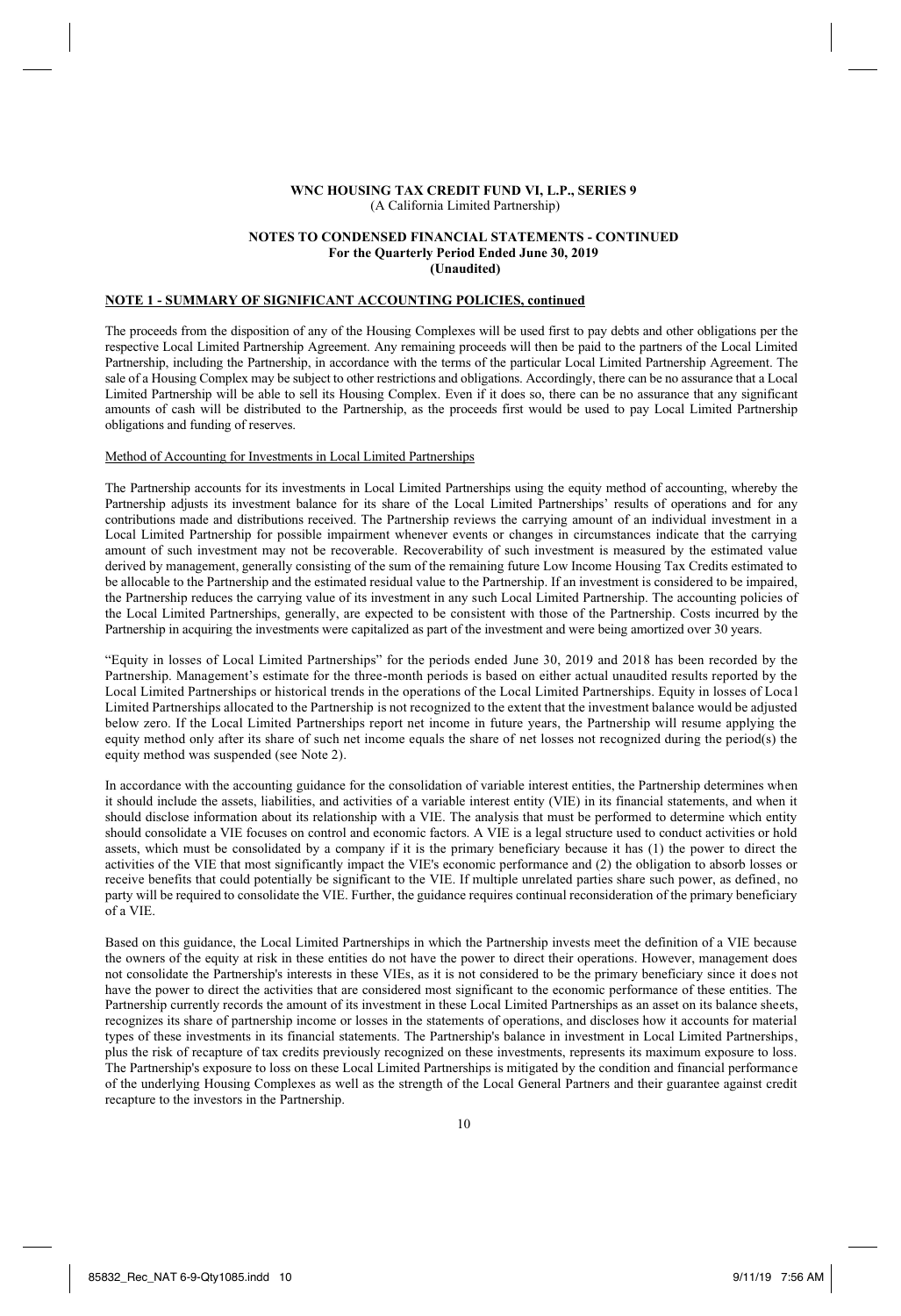#### **NOTES TO CONDENSED FINANCIAL STATEMENTS - CONTINUED For the Quarterly Period Ended June 30, 2019 (Unaudited)**

# **NOTE 1 - SUMMARY OF SIGNIFICANT ACCOUNTING POLICIES, continued**

The proceeds from the disposition of any of the Housing Complexes will be used first to pay debts and other obligations per the respective Local Limited Partnership Agreement. Any remaining proceeds will then be paid to the partners of the Local Limited Partnership, including the Partnership, in accordance with the terms of the particular Local Limited Partnership Agreement. The sale of a Housing Complex may be subject to other restrictions and obligations. Accordingly, there can be no assurance that a Local Limited Partnership will be able to sell its Housing Complex. Even if it does so, there can be no assurance that any significant amounts of cash will be distributed to the Partnership, as the proceeds first would be used to pay Local Limited Partnership obligations and funding of reserves.

## Method of Accounting for Investments in Local Limited Partnerships

The Partnership accounts for its investments in Local Limited Partnerships using the equity method of accounting, whereby the Partnership adjusts its investment balance for its share of the Local Limited Partnerships' results of operations and for any contributions made and distributions received. The Partnership reviews the carrying amount of an individual investment in a Local Limited Partnership for possible impairment whenever events or changes in circumstances indicate that the carrying amount of such investment may not be recoverable. Recoverability of such investment is measured by the estimated value derived by management, generally consisting of the sum of the remaining future Low Income Housing Tax Credits estimated to be allocable to the Partnership and the estimated residual value to the Partnership. If an investment is considered to be impaired, the Partnership reduces the carrying value of its investment in any such Local Limited Partnership. The accounting policies of the Local Limited Partnerships, generally, are expected to be consistent with those of the Partnership. Costs incurred by the Partnership in acquiring the investments were capitalized as part of the investment and were being amortized over 30 years.

"Equity in losses of Local Limited Partnerships" for the periods ended June 30, 2019 and 2018 has been recorded by the Partnership. Management's estimate for the three-month periods is based on either actual unaudited results reported by the Local Limited Partnerships or historical trends in the operations of the Local Limited Partnerships. Equity in losses of Loca l Limited Partnerships allocated to the Partnership is not recognized to the extent that the investment balance would be adjusted below zero. If the Local Limited Partnerships report net income in future years, the Partnership will resume applying the equity method only after its share of such net income equals the share of net losses not recognized during the period(s) the equity method was suspended (see Note 2).

In accordance with the accounting guidance for the consolidation of variable interest entities, the Partnership determines when it should include the assets, liabilities, and activities of a variable interest entity (VIE) in its financial statements, and when it should disclose information about its relationship with a VIE. The analysis that must be performed to determine which entity should consolidate a VIE focuses on control and economic factors. A VIE is a legal structure used to conduct activities or hold assets, which must be consolidated by a company if it is the primary beneficiary because it has (1) the power to direct the activities of the VIE that most significantly impact the VIE's economic performance and (2) the obligation to absorb losses or receive benefits that could potentially be significant to the VIE. If multiple unrelated parties share such power, as defined, no party will be required to consolidate the VIE. Further, the guidance requires continual reconsideration of the primary beneficiary of a VIE.

Based on this guidance, the Local Limited Partnerships in which the Partnership invests meet the definition of a VIE because the owners of the equity at risk in these entities do not have the power to direct their operations. However, management does not consolidate the Partnership's interests in these VIEs, as it is not considered to be the primary beneficiary since it does not have the power to direct the activities that are considered most significant to the economic performance of these entities. The Partnership currently records the amount of its investment in these Local Limited Partnerships as an asset on its balance sheets, recognizes its share of partnership income or losses in the statements of operations, and discloses how it accounts for material types of these investments in its financial statements. The Partnership's balance in investment in Local Limited Partnerships, plus the risk of recapture of tax credits previously recognized on these investments, represents its maximum exposure to loss. The Partnership's exposure to loss on these Local Limited Partnerships is mitigated by the condition and financial performance of the underlying Housing Complexes as well as the strength of the Local General Partners and their guarantee against credit recapture to the investors in the Partnership.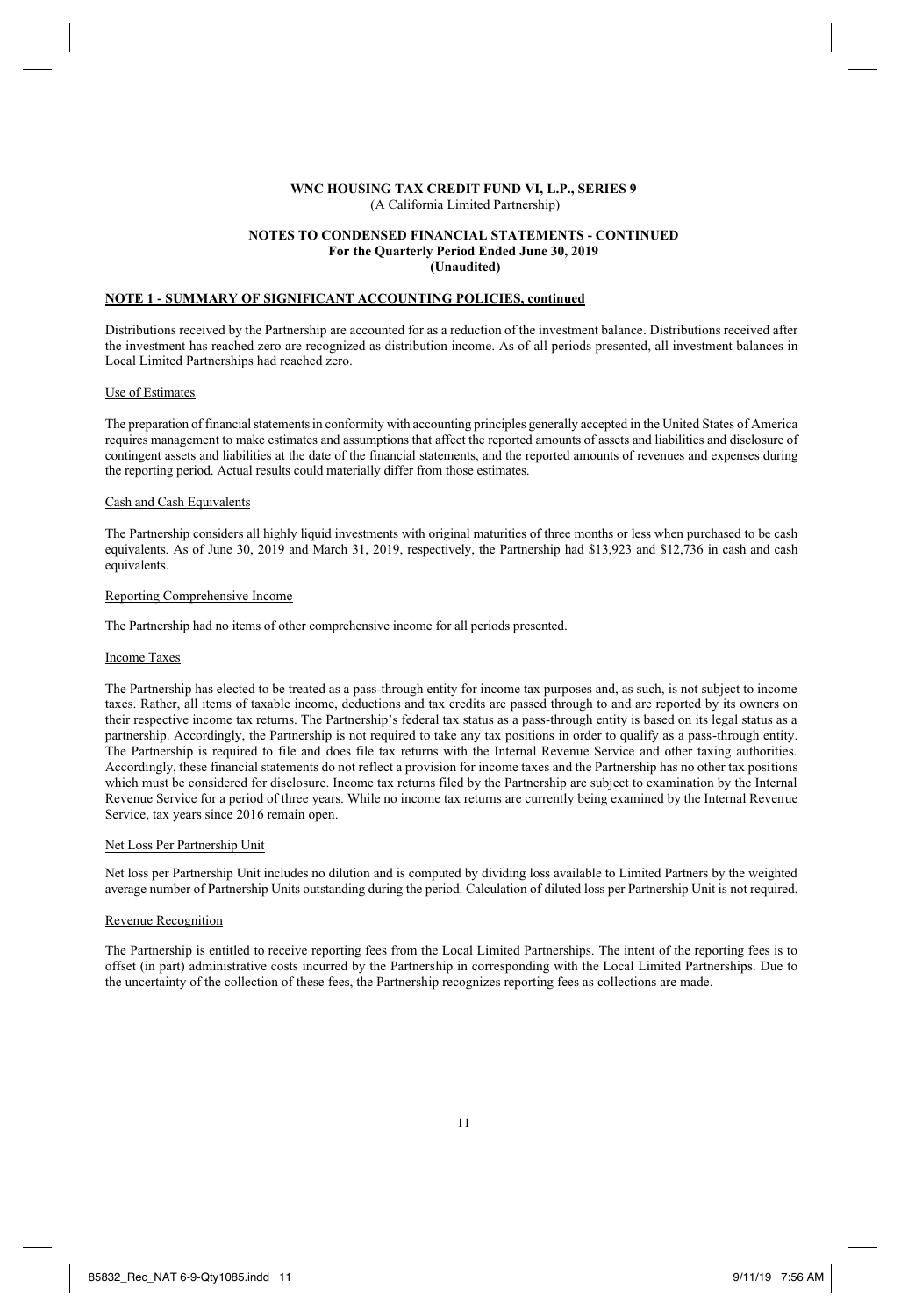#### **NOTES TO CONDENSED FINANCIAL STATEMENTS - CONTINUED For the Quarterly Period Ended June 30, 2019 (Unaudited)**

## **NOTE 1 - SUMMARY OF SIGNIFICANT ACCOUNTING POLICIES, continued**

Distributions received by the Partnership are accounted for as a reduction of the investment balance. Distributions received after the investment has reached zero are recognized as distribution income. As of all periods presented, all investment balances in Local Limited Partnerships had reached zero.

#### Use of Estimates

The preparation of financial statements in conformity with accounting principles generally accepted in the United States of America requires management to make estimates and assumptions that affect the reported amounts of assets and liabilities and disclosure of contingent assets and liabilities at the date of the financial statements, and the reported amounts of revenues and expenses during the reporting period. Actual results could materially differ from those estimates.

# Cash and Cash Equivalents

The Partnership considers all highly liquid investments with original maturities of three months or less when purchased to be cash equivalents. As of June 30, 2019 and March 31, 2019, respectively, the Partnership had \$13,923 and \$12,736 in cash and cash equivalents.

#### Reporting Comprehensive Income

The Partnership had no items of other comprehensive income for all periods presented.

#### Income Taxes

The Partnership has elected to be treated as a pass-through entity for income tax purposes and, as such, is not subject to income taxes. Rather, all items of taxable income, deductions and tax credits are passed through to and are reported by its owners on their respective income tax returns. The Partnership's federal tax status as a pass-through entity is based on its legal status as a partnership. Accordingly, the Partnership is not required to take any tax positions in order to qualify as a pass-through entity. The Partnership is required to file and does file tax returns with the Internal Revenue Service and other taxing authorities. Accordingly, these financial statements do not reflect a provision for income taxes and the Partnership has no other tax positions which must be considered for disclosure. Income tax returns filed by the Partnership are subject to examination by the Internal Revenue Service for a period of three years. While no income tax returns are currently being examined by the Internal Revenue Service, tax years since 2016 remain open.

#### Net Loss Per Partnership Unit

Net loss per Partnership Unit includes no dilution and is computed by dividing loss available to Limited Partners by the weighted average number of Partnership Units outstanding during the period. Calculation of diluted loss per Partnership Unit is not required.

## Revenue Recognition

The Partnership is entitled to receive reporting fees from the Local Limited Partnerships. The intent of the reporting fees is to offset (in part) administrative costs incurred by the Partnership in corresponding with the Local Limited Partnerships. Due to the uncertainty of the collection of these fees, the Partnership recognizes reporting fees as collections are made.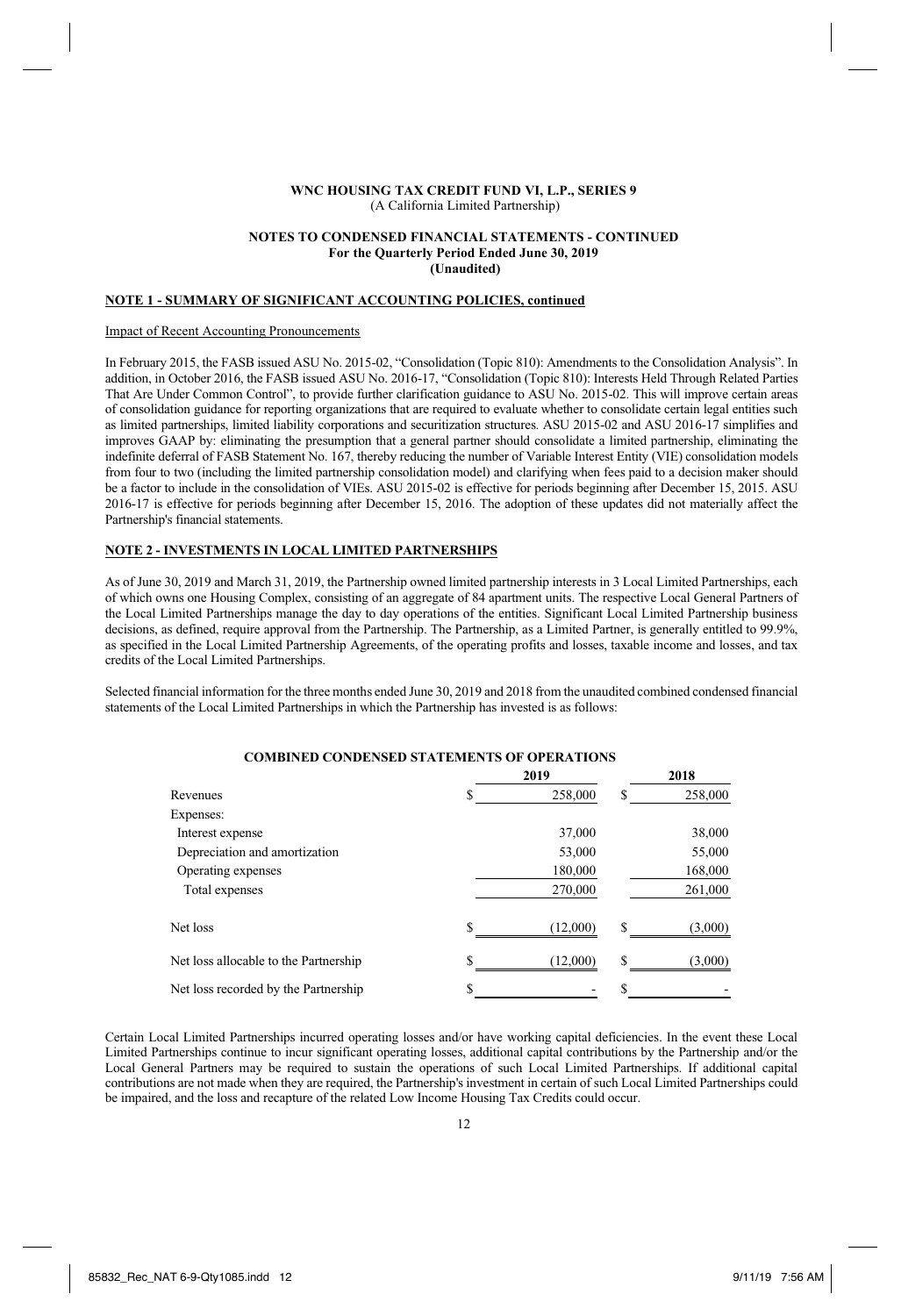#### **NOTES TO CONDENSED FINANCIAL STATEMENTS - CONTINUED For the Quarterly Period Ended June 30, 2019 (Unaudited)**

# **NOTE 1 - SUMMARY OF SIGNIFICANT ACCOUNTING POLICIES, continued**

#### Impact of Recent Accounting Pronouncements

In February 2015, the FASB issued ASU No. 2015-02, "Consolidation (Topic 810): Amendments to the Consolidation Analysis". In addition, in October 2016, the FASB issued ASU No. 2016-17, "Consolidation (Topic 810): Interests Held Through Related Parties That Are Under Common Control", to provide further clarification guidance to ASU No. 2015-02. This will improve certain areas of consolidation guidance for reporting organizations that are required to evaluate whether to consolidate certain legal entities such as limited partnerships, limited liability corporations and securitization structures. ASU 2015-02 and ASU 2016-17 simplifies and improves GAAP by: eliminating the presumption that a general partner should consolidate a limited partnership, eliminating the indefinite deferral of FASB Statement No. 167, thereby reducing the number of Variable Interest Entity (VIE) consolidation models from four to two (including the limited partnership consolidation model) and clarifying when fees paid to a decision maker should be a factor to include in the consolidation of VIEs. ASU 2015-02 is effective for periods beginning after December 15, 2015. ASU 2016-17 is effective for periods beginning after December 15, 2016. The adoption of these updates did not materially affect the Partnership's financial statements.

### **NOTE 2 - INVESTMENTS IN LOCAL LIMITED PARTNERSHIPS**

As of June 30, 2019 and March 31, 2019, the Partnership owned limited partnership interests in 3 Local Limited Partnerships, each of which owns one Housing Complex, consisting of an aggregate of 84 apartment units. The respective Local General Partners of the Local Limited Partnerships manage the day to day operations of the entities. Significant Local Limited Partnership business decisions, as defined, require approval from the Partnership. The Partnership, as a Limited Partner, is generally entitled to 99.9%, as specified in the Local Limited Partnership Agreements, of the operating profits and losses, taxable income and losses, and tax credits of the Local Limited Partnerships.

Selected financial information for the three months ended June 30, 2019 and 2018 from the unaudited combined condensed financial statements of the Local Limited Partnerships in which the Partnership has invested is as follows:

|                                       |    | 2019     |   | 2018    |
|---------------------------------------|----|----------|---|---------|
| Revenues                              | S  | 258,000  | S | 258,000 |
| Expenses:                             |    |          |   |         |
| Interest expense                      |    | 37,000   |   | 38,000  |
| Depreciation and amortization         |    | 53,000   |   | 55,000  |
| Operating expenses                    |    | 180,000  |   | 168,000 |
| Total expenses                        |    | 270,000  |   | 261,000 |
| Net loss                              | S  | (12,000) | ς | (3,000) |
| Net loss allocable to the Partnership | S  | (12,000) | S | (3,000) |
| Net loss recorded by the Partnership  | \$ |          | J |         |

# **COMBINED CONDENSED STATEMENTS OF OPERATIONS**

Certain Local Limited Partnerships incurred operating losses and/or have working capital deficiencies. In the event these Local Limited Partnerships continue to incur significant operating losses, additional capital contributions by the Partnership and/or the Local General Partners may be required to sustain the operations of such Local Limited Partnerships. If additional capital contributions are not made when they are required, the Partnership's investment in certain of such Local Limited Partnerships could be impaired, and the loss and recapture of the related Low Income Housing Tax Credits could occur.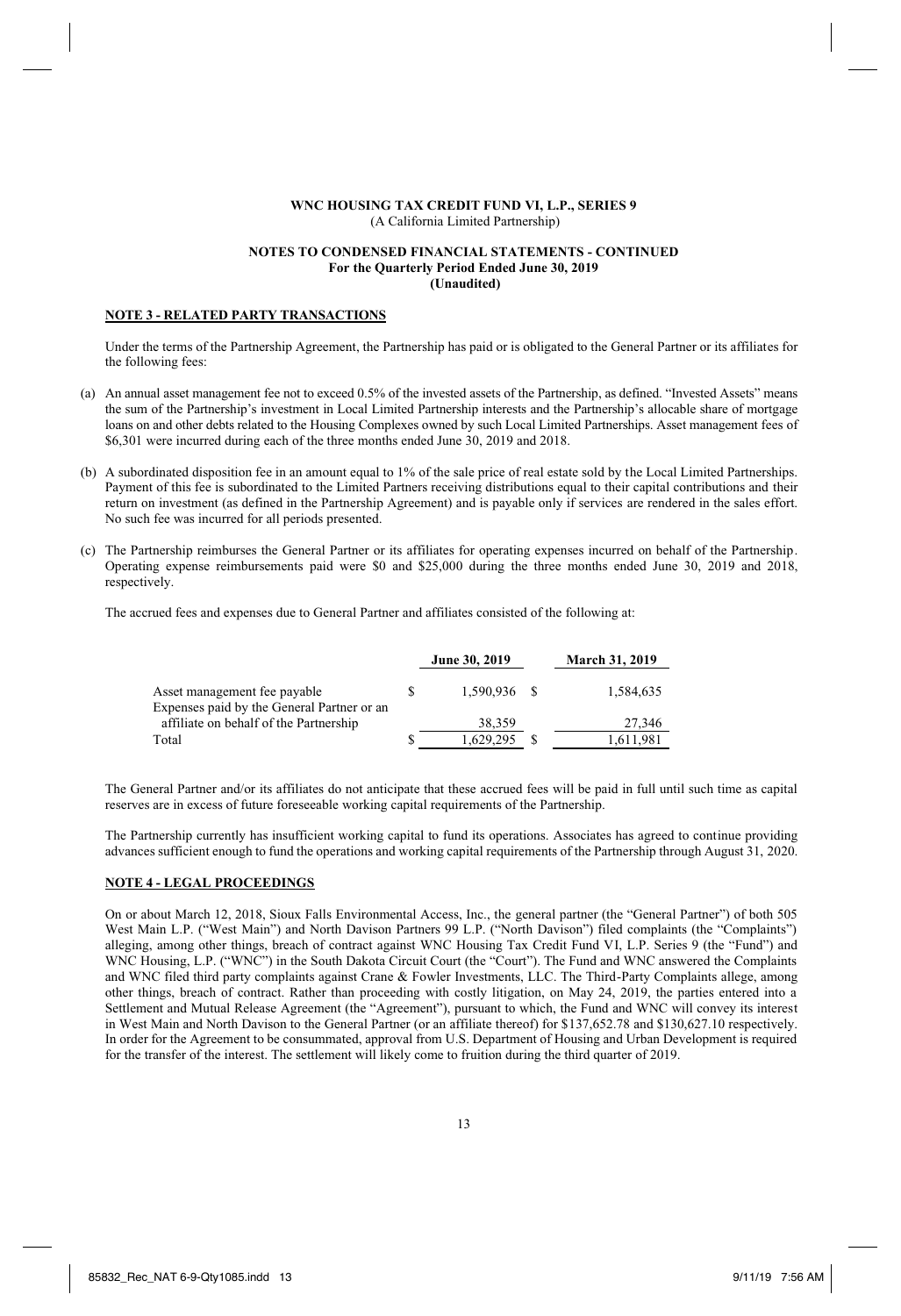### **NOTES TO CONDENSED FINANCIAL STATEMENTS - CONTINUED For the Quarterly Period Ended June 30, 2019 (Unaudited)**

## **NOTE 3 - RELATED PARTY TRANSACTIONS**

Under the terms of the Partnership Agreement, the Partnership has paid or is obligated to the General Partner or its affiliates for the following fees:

- (a) An annual asset management fee not to exceed 0.5% of the invested assets of the Partnership, as defined. "Invested Assets" means the sum of the Partnership's investment in Local Limited Partnership interests and the Partnership's allocable share of mortgage loans on and other debts related to the Housing Complexes owned by such Local Limited Partnerships. Asset management fees of \$6,301 were incurred during each of the three months ended June 30, 2019 and 2018.
- (b) A subordinated disposition fee in an amount equal to 1% of the sale price of real estate sold by the Local Limited Partnerships. Payment of this fee is subordinated to the Limited Partners receiving distributions equal to their capital contributions and their return on investment (as defined in the Partnership Agreement) and is payable only if services are rendered in the sales effort. No such fee was incurred for all periods presented.
- (c) The Partnership reimburses the General Partner or its affiliates for operating expenses incurred on behalf of the Partnership. Operating expense reimbursements paid were \$0 and \$25,000 during the three months ended June 30, 2019 and 2018, respectively.

The accrued fees and expenses due to General Partner and affiliates consisted of the following at:

|                                                                                      | June 30, 2019 | <b>March 31, 2019</b> |
|--------------------------------------------------------------------------------------|---------------|-----------------------|
| Asset management fee payable                                                         | 1.590.936 \$  | 1.584.635             |
| Expenses paid by the General Partner or an<br>affiliate on behalf of the Partnership | 38.359        | 27.346                |
| Total                                                                                | 1.629.295     | 1,611,981             |

The General Partner and/or its affiliates do not anticipate that these accrued fees will be paid in full until such time as capital reserves are in excess of future foreseeable working capital requirements of the Partnership.

The Partnership currently has insufficient working capital to fund its operations. Associates has agreed to continue providing advances sufficient enough to fund the operations and working capital requirements of the Partnership through August 31, 2020.

### **NOTE 4 - LEGAL PROCEEDINGS**

On or about March 12, 2018, Sioux Falls Environmental Access, Inc., the general partner (the "General Partner") of both 505 West Main L.P. ("West Main") and North Davison Partners 99 L.P. ("North Davison") filed complaints (the "Complaints") alleging, among other things, breach of contract against WNC Housing Tax Credit Fund VI, L.P. Series 9 (the "Fund") and WNC Housing, L.P. ("WNC") in the South Dakota Circuit Court (the "Court"). The Fund and WNC answered the Complaints and WNC filed third party complaints against Crane & Fowler Investments, LLC. The Third-Party Complaints allege, among other things, breach of contract. Rather than proceeding with costly litigation, on May 24, 2019, the parties entered into a Settlement and Mutual Release Agreement (the "Agreement"), pursuant to which, the Fund and WNC will convey its interest in West Main and North Davison to the General Partner (or an affiliate thereof) for \$137,652.78 and \$130,627.10 respectively. In order for the Agreement to be consummated, approval from U.S. Department of Housing and Urban Development is required for the transfer of the interest. The settlement will likely come to fruition during the third quarter of 2019.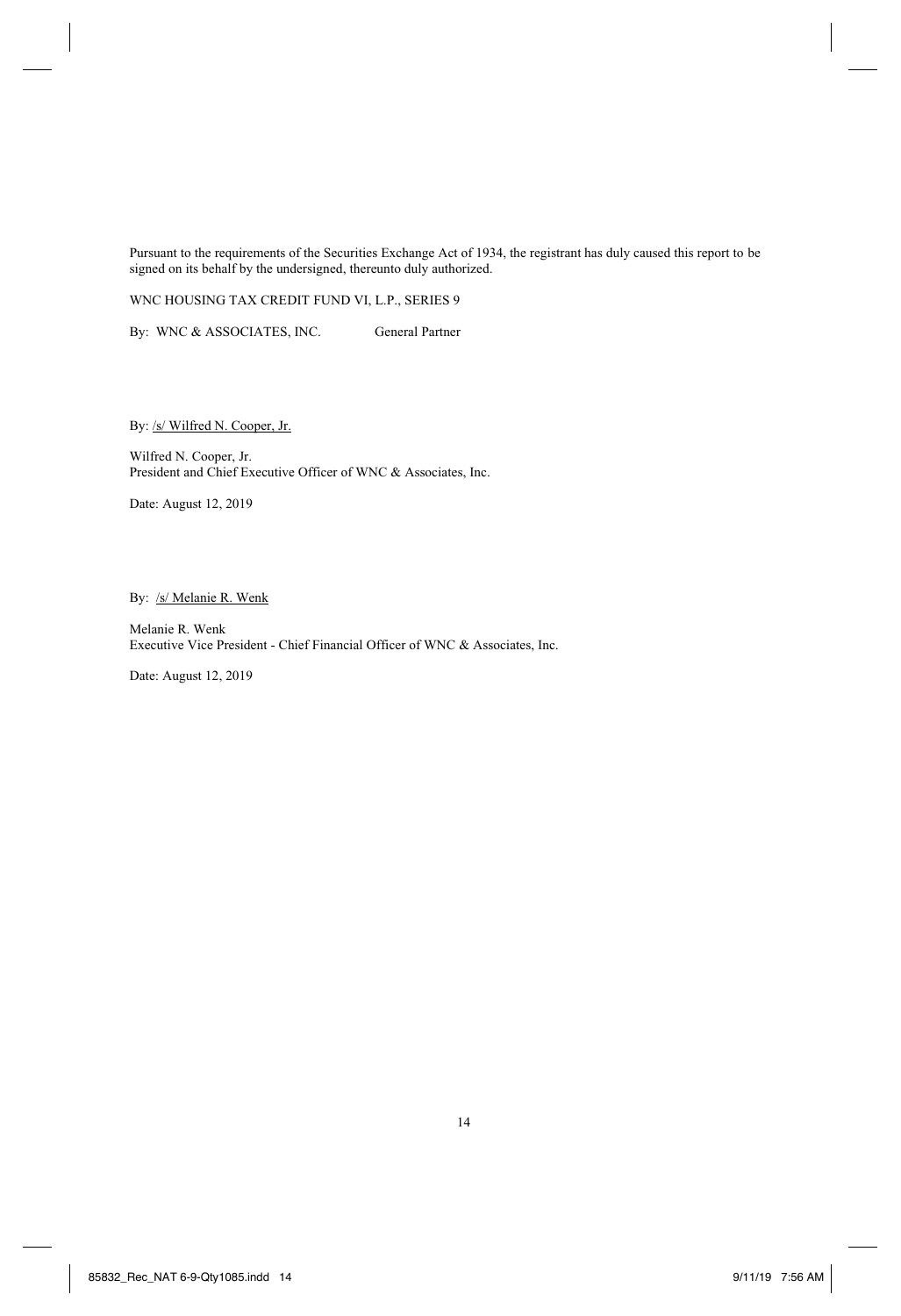Pursuant to the requirements of the Securities Exchange Act of 1934, the registrant has duly caused this report to be signed on its behalf by the undersigned, thereunto duly authorized.

WNC HOUSING TAX CREDIT FUND VI, L.P., SERIES 9

By: WNC & ASSOCIATES, INC. General Partner

By: /s/ Wilfred N. Cooper, Jr.

Wilfred N. Cooper, Jr. President and Chief Executive Officer of WNC & Associates, Inc.

Date: August 12, 2019

By: /s/ Melanie R. Wenk

Melanie R. Wenk Executive Vice President - Chief Financial Officer of WNC & Associates, Inc.

Date: August 12, 2019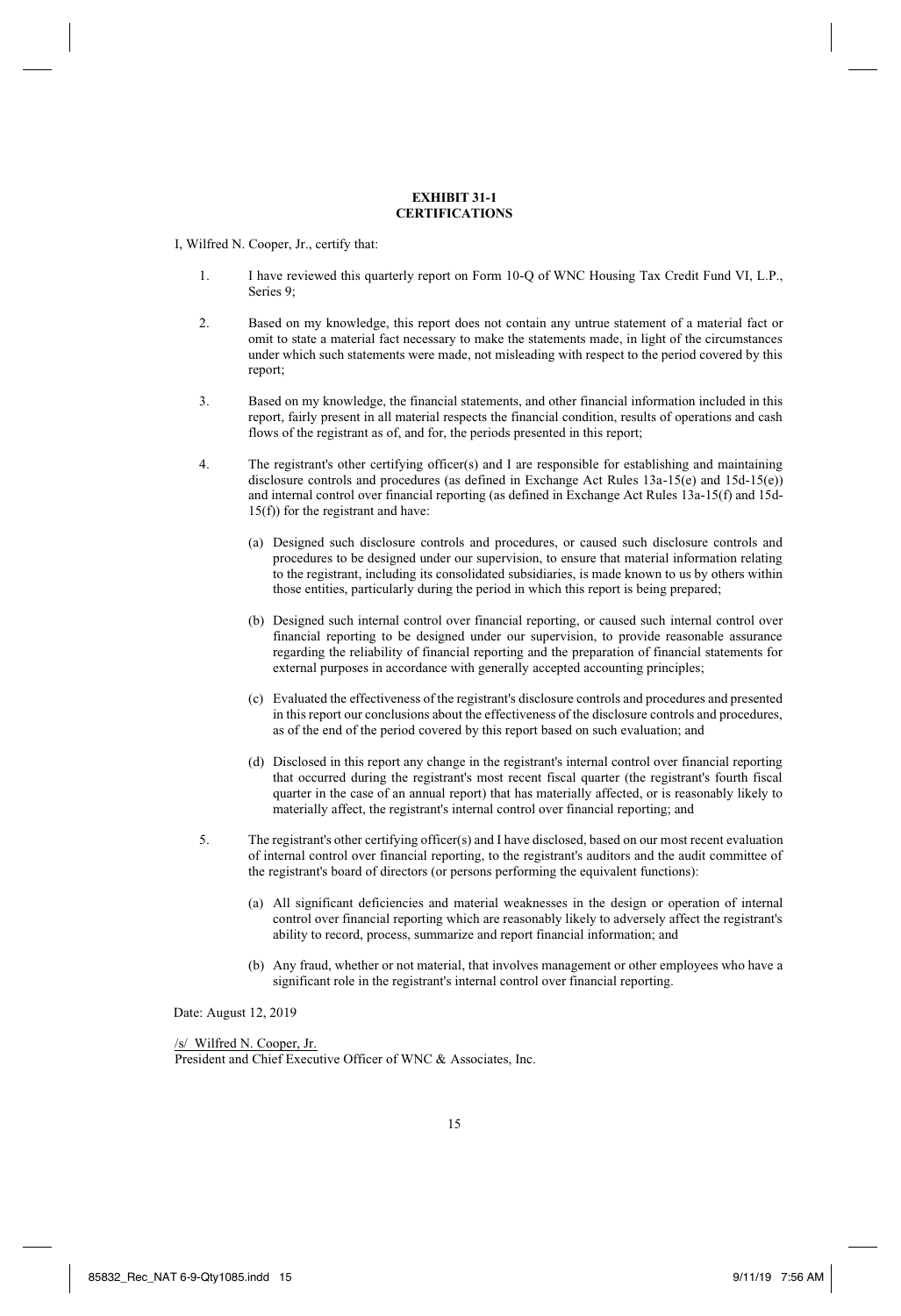### **EXHIBIT 31-1 CERTIFICATIONS**

I, Wilfred N. Cooper, Jr., certify that:

- 1. I have reviewed this quarterly report on Form 10-Q of WNC Housing Tax Credit Fund VI, L.P., Series 9;
- 2. Based on my knowledge, this report does not contain any untrue statement of a material fact or omit to state a material fact necessary to make the statements made, in light of the circumstances under which such statements were made, not misleading with respect to the period covered by this report;
- 3. Based on my knowledge, the financial statements, and other financial information included in this report, fairly present in all material respects the financial condition, results of operations and cash flows of the registrant as of, and for, the periods presented in this report;
- 4. The registrant's other certifying officer(s) and I are responsible for establishing and maintaining disclosure controls and procedures (as defined in Exchange Act Rules 13a-15(e) and 15d-15(e)) and internal control over financial reporting (as defined in Exchange Act Rules 13a-15(f) and 15d-15(f)) for the registrant and have:
	- (a) Designed such disclosure controls and procedures, or caused such disclosure controls and procedures to be designed under our supervision, to ensure that material information relating to the registrant, including its consolidated subsidiaries, is made known to us by others within those entities, particularly during the period in which this report is being prepared;
	- (b) Designed such internal control over financial reporting, or caused such internal control over financial reporting to be designed under our supervision, to provide reasonable assurance regarding the reliability of financial reporting and the preparation of financial statements for external purposes in accordance with generally accepted accounting principles;
	- (c) Evaluated the effectiveness of the registrant's disclosure controls and procedures and presented in this report our conclusions about the effectiveness of the disclosure controls and procedures, as of the end of the period covered by this report based on such evaluation; and
	- (d) Disclosed in this report any change in the registrant's internal control over financial reporting that occurred during the registrant's most recent fiscal quarter (the registrant's fourth fiscal quarter in the case of an annual report) that has materially affected, or is reasonably likely to materially affect, the registrant's internal control over financial reporting; and
- 5. The registrant's other certifying officer(s) and I have disclosed, based on our most recent evaluation of internal control over financial reporting, to the registrant's auditors and the audit committee of the registrant's board of directors (or persons performing the equivalent functions):
	- (a) All significant deficiencies and material weaknesses in the design or operation of internal control over financial reporting which are reasonably likely to adversely affect the registrant's ability to record, process, summarize and report financial information; and
	- (b) Any fraud, whether or not material, that involves management or other employees who have a significant role in the registrant's internal control over financial reporting.

Date: August 12, 2019

 /s/ Wilfred N. Cooper, Jr. President and Chief Executive Officer of WNC & Associates, Inc.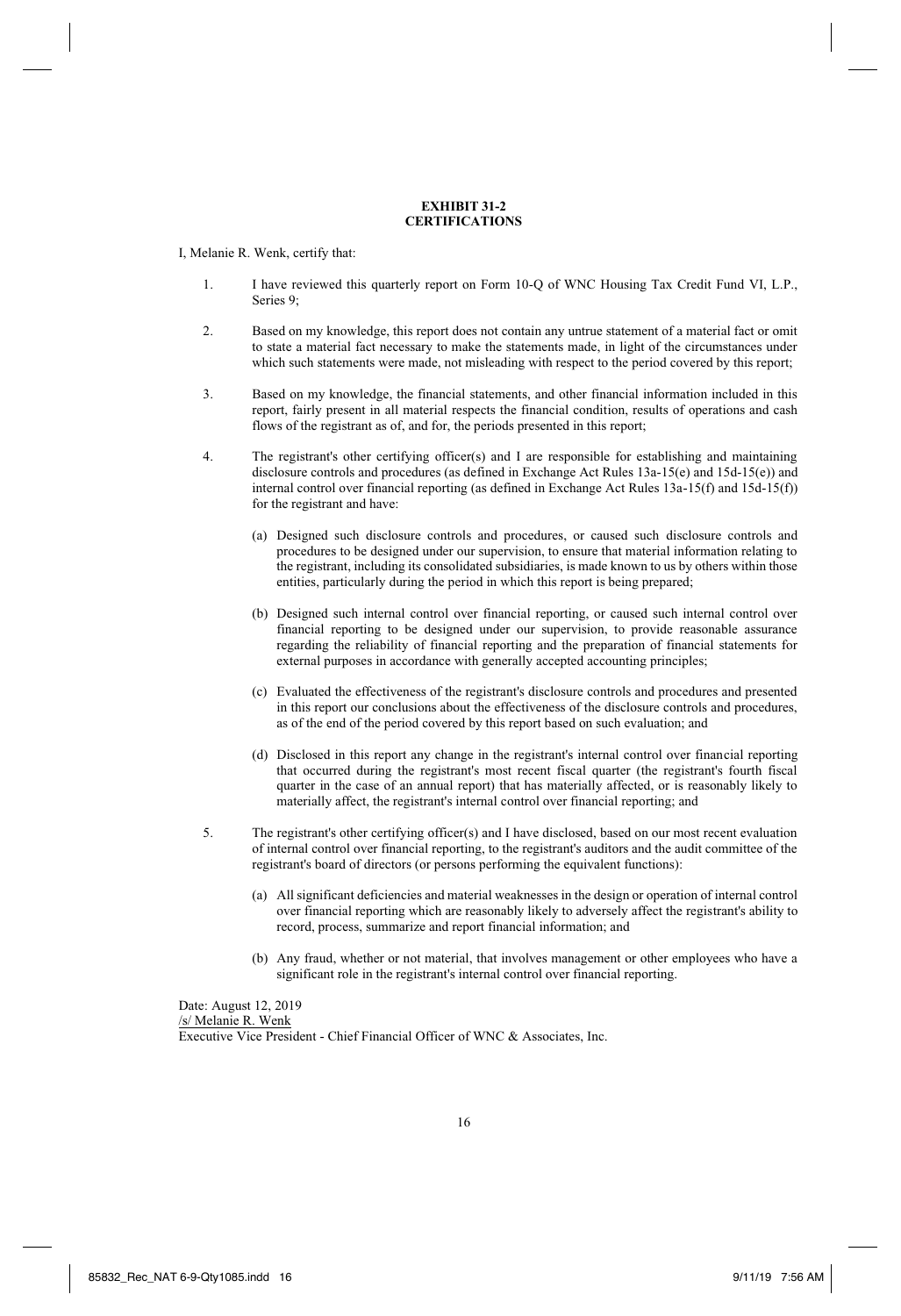#### **EXHIBIT 31-2 CERTIFICATIONS**

I, Melanie R. Wenk, certify that:

- 1. I have reviewed this quarterly report on Form 10-Q of WNC Housing Tax Credit Fund VI, L.P., Series 9;
- 2. Based on my knowledge, this report does not contain any untrue statement of a material fact or omit to state a material fact necessary to make the statements made, in light of the circumstances under which such statements were made, not misleading with respect to the period covered by this report;
- 3. Based on my knowledge, the financial statements, and other financial information included in this report, fairly present in all material respects the financial condition, results of operations and cash flows of the registrant as of, and for, the periods presented in this report;
- 4. The registrant's other certifying officer(s) and I are responsible for establishing and maintaining disclosure controls and procedures (as defined in Exchange Act Rules 13a-15(e) and 15d-15(e)) and internal control over financial reporting (as defined in Exchange Act Rules 13a-15(f) and 15d-15(f)) for the registrant and have:
	- (a) Designed such disclosure controls and procedures, or caused such disclosure controls and procedures to be designed under our supervision, to ensure that material information relating to the registrant, including its consolidated subsidiaries, is made known to us by others within those entities, particularly during the period in which this report is being prepared;
	- (b) Designed such internal control over financial reporting, or caused such internal control over financial reporting to be designed under our supervision, to provide reasonable assurance regarding the reliability of financial reporting and the preparation of financial statements for external purposes in accordance with generally accepted accounting principles;
	- (c) Evaluated the effectiveness of the registrant's disclosure controls and procedures and presented in this report our conclusions about the effectiveness of the disclosure controls and procedures, as of the end of the period covered by this report based on such evaluation; and
	- (d) Disclosed in this report any change in the registrant's internal control over financial reporting that occurred during the registrant's most recent fiscal quarter (the registrant's fourth fiscal quarter in the case of an annual report) that has materially affected, or is reasonably likely to materially affect, the registrant's internal control over financial reporting; and
- 5. The registrant's other certifying officer(s) and I have disclosed, based on our most recent evaluation of internal control over financial reporting, to the registrant's auditors and the audit committee of the registrant's board of directors (or persons performing the equivalent functions):
	- (a) All significant deficiencies and material weaknesses in the design or operation of internal control over financial reporting which are reasonably likely to adversely affect the registrant's ability to record, process, summarize and report financial information; and
	- (b) Any fraud, whether or not material, that involves management or other employees who have a significant role in the registrant's internal control over financial reporting.

Date: August 12, 2019 /s/ Melanie R. Wenk Executive Vice President - Chief Financial Officer of WNC & Associates, Inc.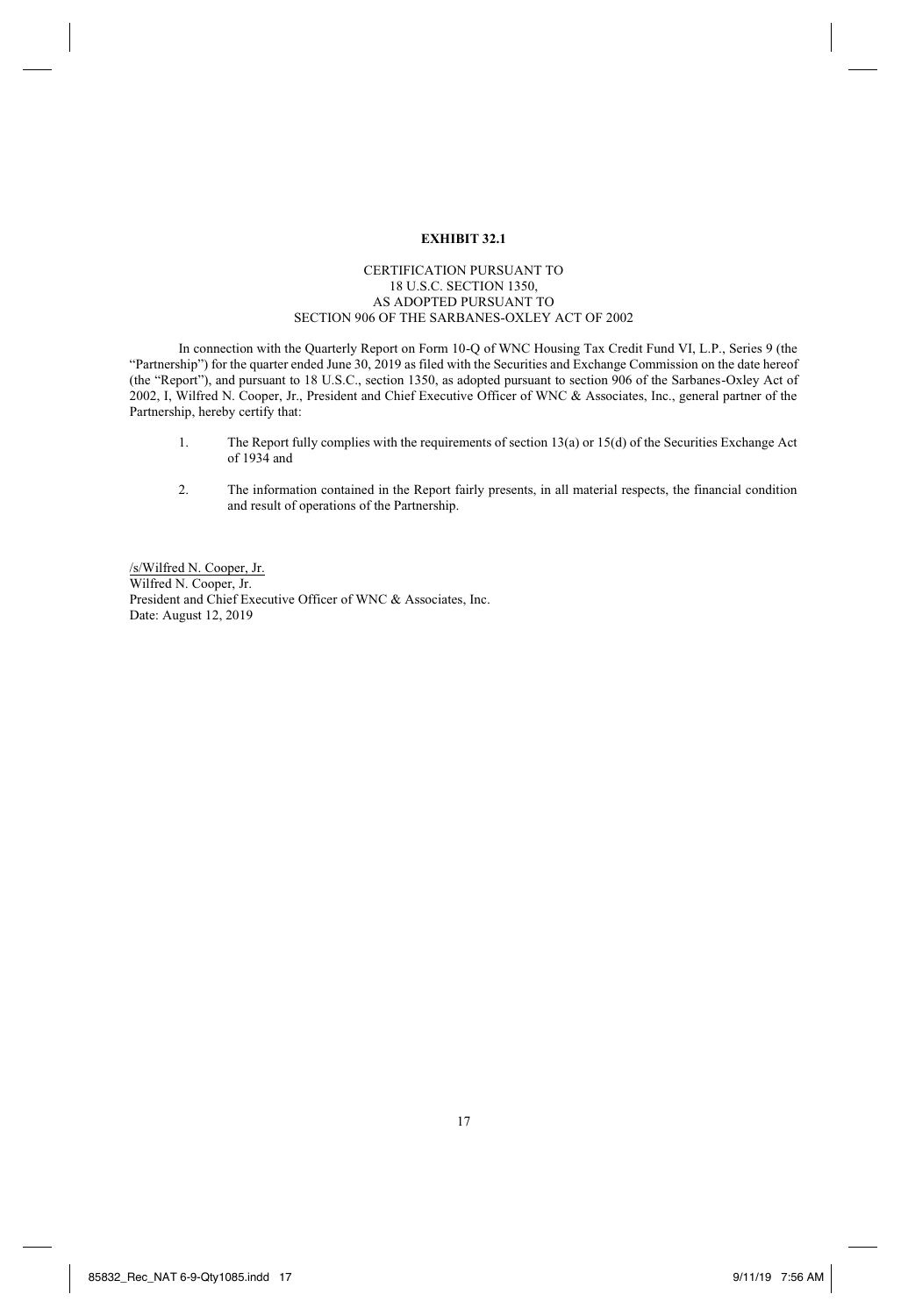# **EXHIBIT 32.1**

## CERTIFICATION PURSUANT TO 18 U.S.C. SECTION 1350, AS ADOPTED PURSUANT TO SECTION 906 OF THE SARBANES-OXLEY ACT OF 2002

In connection with the Quarterly Report on Form 10-Q of WNC Housing Tax Credit Fund VI, L.P., Series 9 (the "Partnership") for the quarter ended June 30, 2019 as filed with the Securities and Exchange Commission on the date hereof (the "Report"), and pursuant to 18 U.S.C., section 1350, as adopted pursuant to section 906 of the Sarbanes-Oxley Act of 2002, I, Wilfred N. Cooper, Jr., President and Chief Executive Officer of WNC & Associates, Inc., general partner of the Partnership, hereby certify that:

- 1. The Report fully complies with the requirements of section 13(a) or 15(d) of the Securities Exchange Act of 1934 and
- 2. The information contained in the Report fairly presents, in all material respects, the financial condition and result of operations of the Partnership.

/s/Wilfred N. Cooper, Jr. Wilfred N. Cooper, Jr. President and Chief Executive Officer of WNC & Associates, Inc. Date: August 12, 2019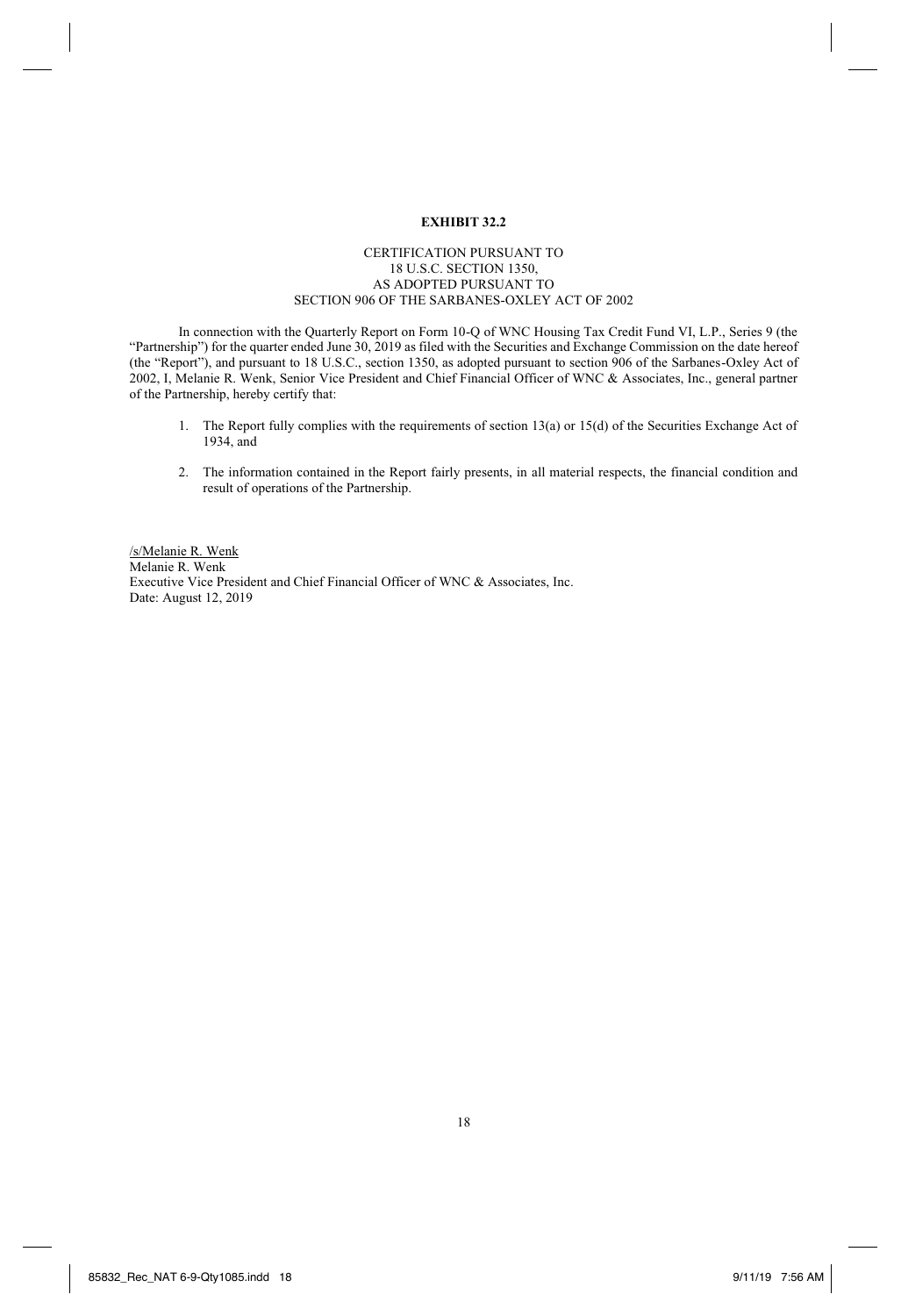## **EXHIBIT 32.2**

## CERTIFICATION PURSUANT TO 18 U.S.C. SECTION 1350, AS ADOPTED PURSUANT TO SECTION 906 OF THE SARBANES-OXLEY ACT OF 2002

In connection with the Quarterly Report on Form 10-Q of WNC Housing Tax Credit Fund VI, L.P., Series 9 (the "Partnership") for the quarter ended June 30, 2019 as filed with the Securities and Exchange Commission on the date hereof (the "Report"), and pursuant to 18 U.S.C., section 1350, as adopted pursuant to section 906 of the Sarbanes-Oxley Act of 2002, I, Melanie R. Wenk, Senior Vice President and Chief Financial Officer of WNC & Associates, Inc., general partner of the Partnership, hereby certify that:

- 1. The Report fully complies with the requirements of section 13(a) or 15(d) of the Securities Exchange Act of 1934, and
- 2. The information contained in the Report fairly presents, in all material respects, the financial condition and result of operations of the Partnership.

/s/Melanie R. Wenk Melanie R. Wenk Executive Vice President and Chief Financial Officer of WNC & Associates, Inc. Date: August 12, 2019